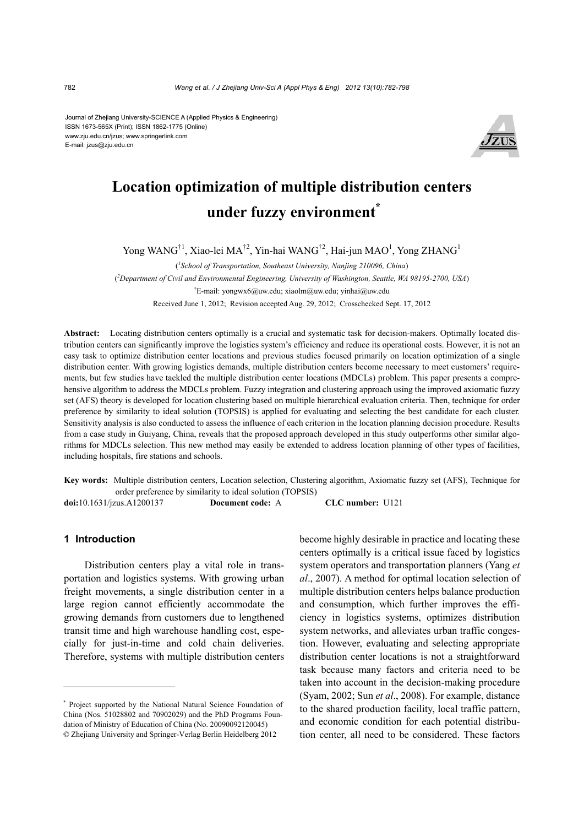Journal of Zhejiang University-SCIENCE A (Applied Physics & Engineering) ISSN 1673-565X (Print); ISSN 1862-1775 (Online) www.zju.edu.cn/jzus; www.springerlink.com E-mail: jzus@zju.edu.cn



# **Location optimization of multiple distribution centers under fuzzy environment\***

Yong WANG<sup>†1</sup>, Xiao-lei MA<sup>†2</sup>, Yin-hai WANG<sup>†2</sup>, Hai-jun MAO<sup>1</sup>, Yong ZHANG<sup>1</sup>

( *1 School of Transportation, Southeast University, Nanjing 210096, China*)

( *2 Department of Civil and Environmental Engineering, University of Washington, Seattle, WA 98195-2700, USA*)

† E-mail: yongwx6@uw.edu; xiaolm@uw.edu; yinhai@uw.edu

Received June 1, 2012; Revision accepted Aug. 29, 2012; Crosschecked Sept. 17, 2012

**Abstract:** Locating distribution centers optimally is a crucial and systematic task for decision-makers. Optimally located distribution centers can significantly improve the logistics system's efficiency and reduce its operational costs. However, it is not an easy task to optimize distribution center locations and previous studies focused primarily on location optimization of a single distribution center. With growing logistics demands, multiple distribution centers become necessary to meet customers' requirements, but few studies have tackled the multiple distribution center locations (MDCLs) problem. This paper presents a comprehensive algorithm to address the MDCLs problem. Fuzzy integration and clustering approach using the improved axiomatic fuzzy set (AFS) theory is developed for location clustering based on multiple hierarchical evaluation criteria. Then, technique for order preference by similarity to ideal solution (TOPSIS) is applied for evaluating and selecting the best candidate for each cluster. Sensitivity analysis is also conducted to assess the influence of each criterion in the location planning decision procedure. Results from a case study in Guiyang, China, reveals that the proposed approach developed in this study outperforms other similar algorithms for MDCLs selection. This new method may easily be extended to address location planning of other types of facilities, including hospitals, fire stations and schools.

**Key words:** Multiple distribution centers, Location selection, Clustering algorithm, Axiomatic fuzzy set (AFS), Technique for order preference by similarity to ideal solution (TOPSIS)

**doi:**10.1631/jzus.A1200137 **Document code:** A **CLC number:** U121

#### **1 Introduction**

Distribution centers play a vital role in transportation and logistics systems. With growing urban freight movements, a single distribution center in a large region cannot efficiently accommodate the growing demands from customers due to lengthened transit time and high warehouse handling cost, especially for just-in-time and cold chain deliveries. Therefore, systems with multiple distribution centers

become highly desirable in practice and locating these centers optimally is a critical issue faced by logistics system operators and transportation planners (Yang *et al*., 2007). A method for optimal location selection of multiple distribution centers helps balance production and consumption, which further improves the efficiency in logistics systems, optimizes distribution system networks, and alleviates urban traffic congestion. However, evaluating and selecting appropriate distribution center locations is not a straightforward task because many factors and criteria need to be taken into account in the decision-making procedure (Syam, 2002; Sun *et al*., 2008). For example, distance to the shared production facility, local traffic pattern, and economic condition for each potential distribution center, all need to be considered. These factors

<sup>\*</sup> Project supported by the National Natural Science Foundation of China (Nos. 51028802 and 70902029) and the PhD Programs Foundation of Ministry of Education of China (No. 20090092120045) © Zhejiang University and Springer-Verlag Berlin Heidelberg 2012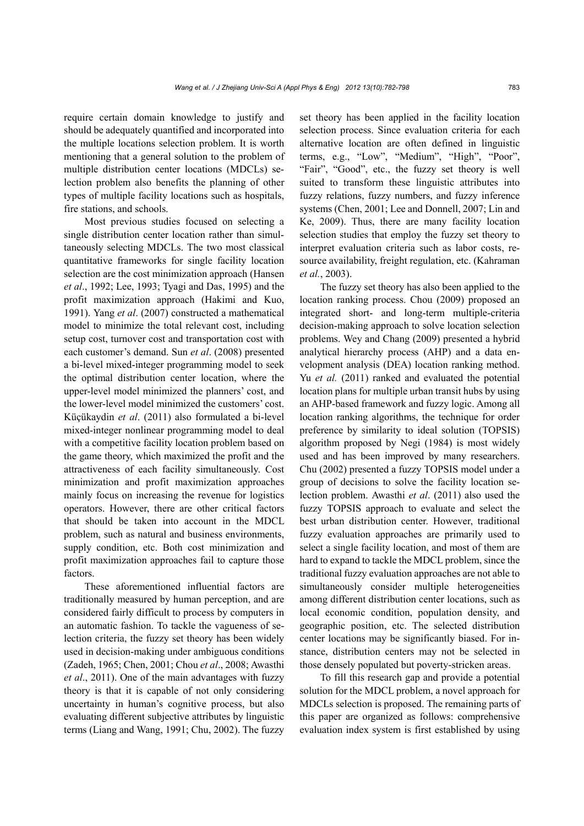require certain domain knowledge to justify and should be adequately quantified and incorporated into the multiple locations selection problem. It is worth mentioning that a general solution to the problem of multiple distribution center locations (MDCLs) selection problem also benefits the planning of other types of multiple facility locations such as hospitals, fire stations, and schools.

Most previous studies focused on selecting a single distribution center location rather than simultaneously selecting MDCLs. The two most classical quantitative frameworks for single facility location selection are the cost minimization approach (Hansen *et al*., 1992; Lee, 1993; Tyagi and Das, 1995) and the profit maximization approach (Hakimi and Kuo, 1991). Yang *et al*. (2007) constructed a mathematical model to minimize the total relevant cost, including setup cost, turnover cost and transportation cost with each customer's demand. Sun *et al*. (2008) presented a bi-level mixed-integer programming model to seek the optimal distribution center location, where the upper-level model minimized the planners' cost, and the lower-level model minimized the customers' cost. Küçükaydin *et al*. (2011) also formulated a bi-level mixed-integer nonlinear programming model to deal with a competitive facility location problem based on the game theory, which maximized the profit and the attractiveness of each facility simultaneously. Cost minimization and profit maximization approaches mainly focus on increasing the revenue for logistics operators. However, there are other critical factors that should be taken into account in the MDCL problem, such as natural and business environments, supply condition, etc. Both cost minimization and profit maximization approaches fail to capture those factors.

These aforementioned influential factors are traditionally measured by human perception, and are considered fairly difficult to process by computers in an automatic fashion. To tackle the vagueness of selection criteria, the fuzzy set theory has been widely used in decision-making under ambiguous conditions (Zadeh, 1965; Chen, 2001; Chou *et al*., 2008; Awasthi *et al*., 2011). One of the main advantages with fuzzy theory is that it is capable of not only considering uncertainty in human's cognitive process, but also evaluating different subjective attributes by linguistic terms (Liang and Wang, 1991; Chu, 2002). The fuzzy

set theory has been applied in the facility location selection process. Since evaluation criteria for each alternative location are often defined in linguistic terms, e.g., "Low", "Medium", "High", "Poor", "Fair", "Good", etc., the fuzzy set theory is well suited to transform these linguistic attributes into fuzzy relations, fuzzy numbers, and fuzzy inference systems (Chen, 2001; Lee and Donnell, 2007; Lin and Ke, 2009). Thus, there are many facility location selection studies that employ the fuzzy set theory to interpret evaluation criteria such as labor costs, resource availability, freight regulation, etc. (Kahraman *et al.*, 2003).

The fuzzy set theory has also been applied to the location ranking process. Chou (2009) proposed an integrated short- and long-term multiple-criteria decision-making approach to solve location selection problems. Wey and Chang (2009) presented a hybrid analytical hierarchy process (AHP) and a data envelopment analysis (DEA) location ranking method. Yu *et al.* (2011) ranked and evaluated the potential location plans for multiple urban transit hubs by using an AHP-based framework and fuzzy logic. Among all location ranking algorithms, the technique for order preference by similarity to ideal solution (TOPSIS) algorithm proposed by Negi (1984) is most widely used and has been improved by many researchers. Chu (2002) presented a fuzzy TOPSIS model under a group of decisions to solve the facility location selection problem. Awasthi *et al*. (2011) also used the fuzzy TOPSIS approach to evaluate and select the best urban distribution center. However, traditional fuzzy evaluation approaches are primarily used to select a single facility location, and most of them are hard to expand to tackle the MDCL problem, since the traditional fuzzy evaluation approaches are not able to simultaneously consider multiple heterogeneities among different distribution center locations, such as local economic condition, population density, and geographic position, etc. The selected distribution center locations may be significantly biased. For instance, distribution centers may not be selected in those densely populated but poverty-stricken areas.

To fill this research gap and provide a potential solution for the MDCL problem, a novel approach for MDCLs selection is proposed. The remaining parts of this paper are organized as follows: comprehensive evaluation index system is first established by using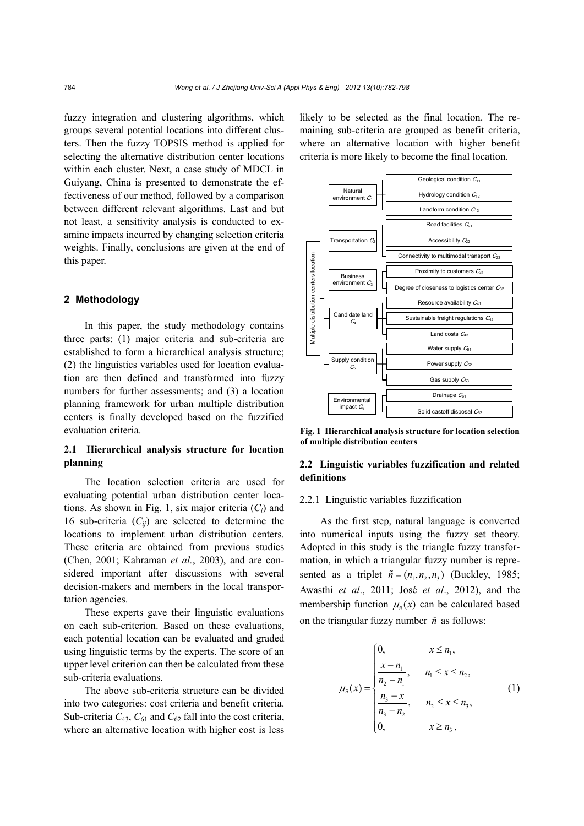fuzzy integration and clustering algorithms, which groups several potential locations into different clusters. Then the fuzzy TOPSIS method is applied for selecting the alternative distribution center locations within each cluster. Next, a case study of MDCL in Guiyang, China is presented to demonstrate the effectiveness of our method, followed by a comparison between different relevant algorithms. Last and but not least, a sensitivity analysis is conducted to examine impacts incurred by changing selection criteria weights. Finally, conclusions are given at the end of this paper.

## **2 Methodology**

In this paper, the study methodology contains three parts: (1) major criteria and sub-criteria are established to form a hierarchical analysis structure; (2) the linguistics variables used for location evaluation are then defined and transformed into fuzzy numbers for further assessments; and (3) a location planning framework for urban multiple distribution centers is finally developed based on the fuzzified evaluation criteria.

# **2.1 Hierarchical analysis structure for location planning**

The location selection criteria are used for evaluating potential urban distribution center locations. As shown in Fig. 1, six major criteria (*Ci*) and 16 sub-criteria  $(C_{ii})$  are selected to determine the locations to implement urban distribution centers. These criteria are obtained from previous studies (Chen, 2001; Kahraman *et al.*, 2003), and are considered important after discussions with several decision-makers and members in the local transportation agencies.

These experts gave their linguistic evaluations on each sub-criterion. Based on these evaluations, each potential location can be evaluated and graded using linguistic terms by the experts. The score of an upper level criterion can then be calculated from these sub-criteria evaluations.

The above sub-criteria structure can be divided into two categories: cost criteria and benefit criteria. Sub-criteria  $C_{43}$ ,  $C_{61}$  and  $C_{62}$  fall into the cost criteria, where an alternative location with higher cost is less likely to be selected as the final location. The remaining sub-criteria are grouped as benefit criteria, where an alternative location with higher benefit criteria is more likely to become the final location.



**Fig. 1 Hierarchical analysis structure for location selection of multiple distribution centers**

# **2.2 Linguistic variables fuzzification and related definitions**

## 2.2.1 Linguistic variables fuzzification

As the first step, natural language is converted into numerical inputs using the fuzzy set theory. Adopted in this study is the triangle fuzzy transformation, in which a triangular fuzzy number is represented as a triplet  $\tilde{n} = (n_1, n_2, n_3)$  (Buckley, 1985; Awasthi *et al*., 2011; José *et al*., 2012), and the membership function  $\mu$ <sub>*i*</sub> $(x)$  can be calculated based on the triangular fuzzy number  $\tilde{n}$  as follows:

$$
\mu_{\tilde{n}}(x) = \begin{cases}\n0, & x \le n_1, \\
\frac{x - n_1}{n_2 - n_1}, & n_1 \le x \le n_2, \\
\frac{n_3 - x}{n_3 - n_2}, & n_2 \le x \le n_3, \\
0, & x \ge n_3,\n\end{cases}
$$
\n(1)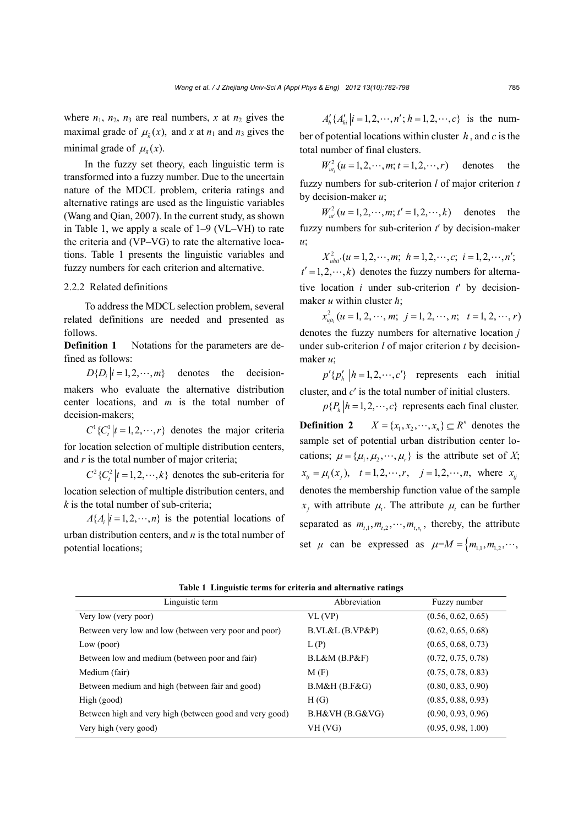where  $n_1$ ,  $n_2$ ,  $n_3$  are real numbers, x at  $n_2$  gives the maximal grade of  $\mu_{\tilde{n}}(x)$ , and x at  $n_1$  and  $n_3$  gives the minimal grade of  $\mu_{\alpha}(x)$ .

In the fuzzy set theory, each linguistic term is transformed into a fuzzy number. Due to the uncertain nature of the MDCL problem, criteria ratings and alternative ratings are used as the linguistic variables (Wang and Qian, 2007). In the current study, as shown in Table 1, we apply a scale of 1–9 (VL–VH) to rate the criteria and (VP–VG) to rate the alternative locations. Table 1 presents the linguistic variables and fuzzy numbers for each criterion and alternative.

### 2.2.2 Related definitions

To address the MDCL selection problem, several related definitions are needed and presented as follows.

**Definition 1** Notations for the parameters are defined as follows:

 $D\{D_i|i=1,2,\cdots,m\}$  denotes the decisionmakers who evaluate the alternative distribution center locations, and *m* is the total number of decision-makers;

 $C^1$ { $C^1$ <sub>*t*</sub>  $|t = 1, 2, \cdots, r$ } denotes the major criteria for location selection of multiple distribution centers, and *r* is the total number of major criteria;

 $C^2$ { $C_t^2$   $|t = 1, 2, \dots, k$ } denotes the sub-criteria for location selection of multiple distribution centers, and *k* is the total number of sub-criteria;

 $A\{A_i | i = 1, 2, \dots, n\}$  is the potential locations of urban distribution centers, and *n* is the total number of potential locations;

 $A'_{i}$ { $A'_{i}$ ,  $|i = 1, 2, \cdots, n'$ ;  $h = 1, 2, \cdots, c$ } is the number of potential locations within cluster *h* , and *c* is the total number of final clusters.

 $W_{u_t}^2(u = 1, 2, \dots, m; t = 1, 2, \dots, r)$  denotes the fuzzy numbers for sub-criterion *l* of major criterion *t* by decision-maker *u*;

 $W_{u}^{2}(u=1,2,\cdots,m; t'=1,2,\cdots,k)$  denotes the fuzzy numbers for sub-criterion *t*′ by decision-maker *u*;

 $X_{\text{min}}^2(u=1,2,\cdots,m; h=1,2,\cdots,c; i=1,2,\cdots,n';$  $t' = 1, 2, \dots, k$  denotes the fuzzy numbers for alternative location *i* under sub-criterion *t*′ by decisionmaker *u* within cluster *h*;

 $x_{\mu j_l}^2$   $(u = 1, 2, \cdots, m; j = 1, 2, \cdots, n; t = 1, 2, \cdots, r)$ denotes the fuzzy numbers for alternative location *j* under sub-criterion *l* of major criterion *t* by decisionmaker *u*;

 $p'\{p'_h | h=1,2,\cdots,c'\}$  represents each initial cluster, and *c*′ is the total number of initial clusters.

 $p\{P_h | h = 1, 2, \dots, c\}$  represents each final cluster.

**Definition 2**  $X = \{x_1, x_2, \dots, x_n\} \subseteq R^n$  denotes the sample set of potential urban distribution center locations;  $\mu = {\mu_1, \mu_2, \cdots, \mu_r}$  is the attribute set of *X*;  $x_{ij} = \mu_t(x_i)$ ,  $t = 1, 2, \dots, r$ ,  $j = 1, 2, \dots, n$ , where  $x_{ij}$ denotes the membership function value of the sample  $x_i$  with attribute  $\mu_i$ . The attribute  $\mu_i$  can be further separated as  $m_{t,1}, m_{t,2}, \cdots, m_{t,s}$ , thereby, the attribute set  $\mu$  can be expressed as  $\mu=M = \{m_{1,1}, m_{1,2}, \cdots,$ 

| Linguistic term                                         | Abbreviation    | Fuzzy number       |
|---------------------------------------------------------|-----------------|--------------------|
| Very low (very poor)                                    | VL(VP)          | (0.56, 0.62, 0.65) |
| Between very low and low (between very poor and poor)   | B.VL&L(B.VP&P)  | (0.62, 0.65, 0.68) |
| Low (poor)                                              | L(P)            | (0.65, 0.68, 0.73) |
| Between low and medium (between poor and fair)          | B.L&M(B.P&F)    | (0.72, 0.75, 0.78) |
| Medium (fair)                                           | M(F)            | (0.75, 0.78, 0.83) |
| Between medium and high (between fair and good)         | B.M&H(B.F&G)    | (0.80, 0.83, 0.90) |
| High (good)                                             | H(G)            | (0.85, 0.88, 0.93) |
| Between high and very high (between good and very good) | B.H&VH (B.G&VG) | (0.90, 0.93, 0.96) |
| Very high (very good)                                   | VH(VG)          | (0.95, 0.98, 1.00) |

**Table 1 Linguistic terms for criteria and alternative ratings**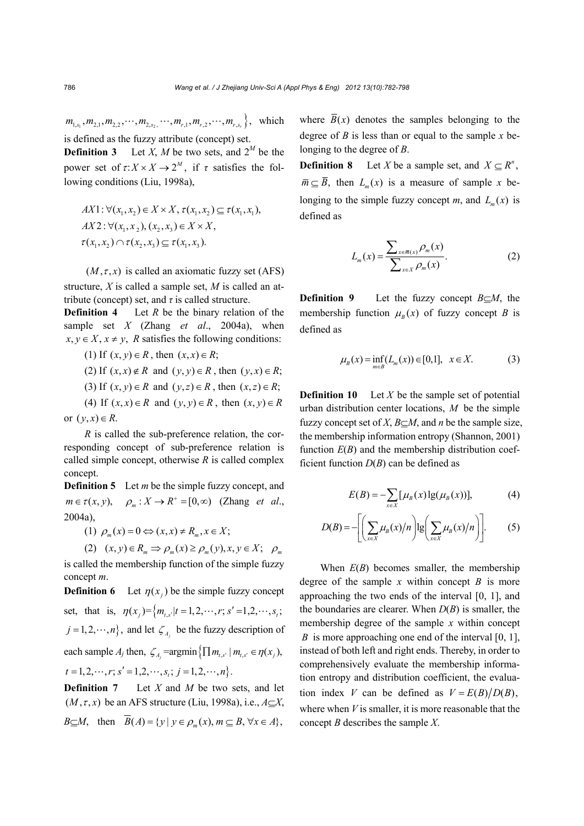$m_{1,s_1}, m_{2,1}, m_{2,2}, \cdots, m_{2,s_2}, \cdots, m_{r,1}, m_{r,2}, \cdots, m_{r,s_r}$ , which is defined as the fuzzy attribute (concept) set.

**Definition 3** Let *X*, *M* be two sets, and  $2^M$  be the power set of  $\tau: X \times X \to 2^M$ , if  $\tau$  satisfies the following conditions (Liu, 1998a),

$$
AX1: \forall (x_1, x_2) \in X \times X, \tau(x_1, x_2) \subseteq \tau(x_1, x_1),
$$
  

$$
AX2: \forall (x_1, x_2), (x_2, x_3) \in X \times X,
$$
  

$$
\tau(x_1, x_2) \cap \tau(x_2, x_3) \subseteq \tau(x_1, x_3).
$$

 $(M, \tau, x)$  is called an axiomatic fuzzy set (AFS) structure, *X* is called a sample set, *M* is called an attribute (concept) set, and  $\tau$  is called structure.

**Definition 4** Let *R* be the binary relation of the sample set *X* (Zhang *et al*., 2004a), when  $x, y \in X, x \neq y$ , *R* satisfies the following conditions:

(1) If  $(x, y) \in R$ , then  $(x, x) \in R$ ;

(2) If  $(x, x) \notin R$  and  $(y, y) \in R$ , then  $(y, x) \in R$ ;

(3) If  $(x, y) \in R$  and  $(y, z) \in R$ , then  $(x, z) \in R$ ;

(4) If  $(x, x) \in R$  and  $(y, y) \in R$ , then  $(x, y) \in R$ or  $(y, x) \in R$ .

*R* is called the sub-preference relation, the corresponding concept of sub-preference relation is called simple concept, otherwise *R* is called complex concept.

**Definition 5** Let *m* be the simple fuzzy concept, and  $m \in \tau(x, y), \quad \rho_m : X \to R^+ = [0, \infty)$  (Zhang *et al.*, 2004a),

(1)  $\rho_m(x) = 0 \Leftrightarrow (x, x) \neq R_m, x \in X;$ 

(2)  $(x, y) \in R_m \Rightarrow \rho_m(x) \ge \rho_m(y), x, y \in X; \quad \rho_m(x)$ 

is called the membership function of the simple fuzzy concept *m*.

**Definition 6** Let  $\eta(x)$  be the simple fuzzy concept set, that is,  $\eta(x_i) = \left\{ m_{i,s'} | t = 1, 2, \dots, r; s' = 1, 2, \dots, s_t; \right\}$  $j = 1, 2, \dots, n$ , and let  $\zeta_{A_i}$  be the fuzzy description of each sample  $A_j$  then,  $\zeta_A = \operatorname{argmin} \{ \prod m_{i,s'} | m_{i,s'} \in \eta(x_i) \}$ ,  $t = 1, 2, \cdots, r$ ,  $s' = 1, 2, \cdots, s$ ,  $j = 1, 2, \cdots, n$ .

**Definition 7** Let *X* and *M* be two sets, and let  $(M, \tau, x)$  be an AFS structure (Liu, 1998a), i.e.,  $A \subseteq X$ , *B*  $\subset$ *M*, then  $\overline{B}(A) = \{ y \mid y \in \rho_{m}(x), m \subset B, \forall x \in A \}$ ,

where  $\overline{B}(x)$  denotes the samples belonging to the degree of *B* is less than or equal to the sample *x* belonging to the degree of *B*.

**Definition 8** Let *X* be a sample set, and  $X \subseteq R^n$ ,  $\overline{m} \subseteq \overline{B}$ , then  $L_m(x)$  is a measure of sample *x* belonging to the simple fuzzy concept *m*, and  $L_n(x)$  is defined as

$$
L_m(x) = \frac{\sum_{x \in \overline{m}(x)} \rho_m(x)}{\sum_{x \in X} \rho_m(x)}.
$$
 (2)

**Definition 9** Let the fuzzy concept  $B \subseteq M$ , the membership function  $\mu_{R}(x)$  of fuzzy concept *B* is defined as

$$
\mu_B(x) = \inf_{m \in B} (L_m(x)) \in [0,1], \quad x \in X. \tag{3}
$$

**Definition 10** Let  $X$  be the sample set of potential urban distribution center locations, *M* be the simple fuzzy concept set of *X*,  $B \subset M$ , and *n* be the sample size, the membership information entropy (Shannon, 2001) function  $E(B)$  and the membership distribution coefficient function  $D(B)$  can be defined as

$$
E(B) = -\sum_{x \in X} [\mu_B(x) \lg(\mu_B(x))],
$$
 (4)

$$
D(B) = -\left[ \left( \sum_{x \in X} \mu_B(x)/n \right) \lg \left( \sum_{x \in X} \mu_B(x)/n \right) \right].
$$
 (5)

When  $E(B)$  becomes smaller, the membership degree of the sample *x* within concept *B* is more approaching the two ends of the interval [0, 1], and the boundaries are clearer. When  $D(B)$  is smaller, the membership degree of the sample *x* within concept *B* is more approaching one end of the interval [0, 1], instead of both left and right ends. Thereby, in order to comprehensively evaluate the membership information entropy and distribution coefficient, the evaluation index *V* can be defined as  $V = E(B)/D(B)$ , where when *V* is smaller, it is more reasonable that the concept *B* describes the sample *X*.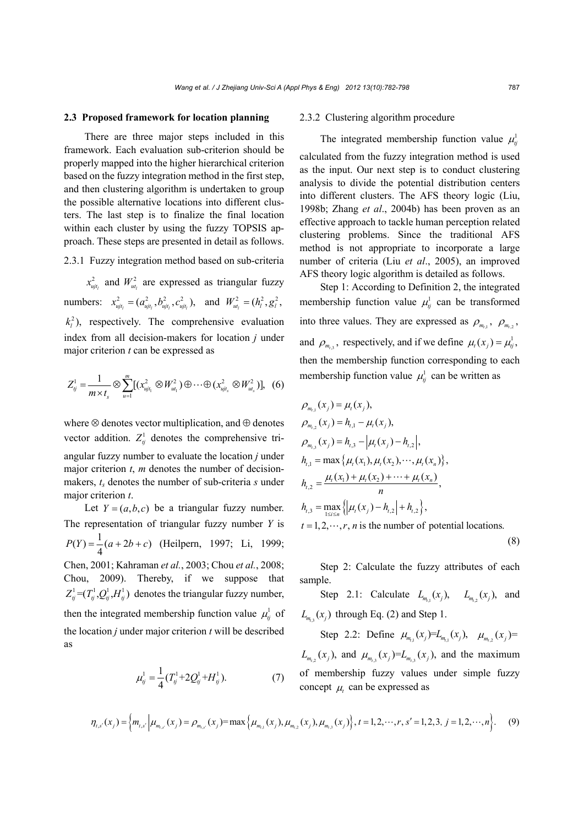#### **2.3 Proposed framework for location planning**

There are three major steps included in this framework. Each evaluation sub-criterion should be properly mapped into the higher hierarchical criterion based on the fuzzy integration method in the first step, and then clustering algorithm is undertaken to group the possible alternative locations into different clusters. The last step is to finalize the final location within each cluster by using the fuzzy TOPSIS approach. These steps are presented in detail as follows.

2.3.1 Fuzzy integration method based on sub-criteria

 $x_{\mu j_l}^2$  and  $W_{\mu l_l}^2$  are expressed as triangular fuzzy numbers:  $x_{u_{ijt_1}}^2 = (a_{u_{ijt_1}}^2, b_{u_{ijt_1}}^2, c_{u_{ijt_1}}^2)$ , and  $W_{u_{ti_1}}^2 = (h_t^2, g_t^2, g_t^2)$  $k_l^2$ ), respectively. The comprehensive evaluation index from all decision-makers for location *j* under major criterion *t* can be expressed as

$$
Z_{ij}^{1} = \frac{1}{m \times t_s} \otimes \sum_{u=1}^{m} [(x_{ujt_1}^{2} \otimes W_{ut_1}^{2}) \oplus \cdots \oplus (x_{ujt_s}^{2} \otimes W_{ut_s}^{2})], (6)
$$

where  $\otimes$  denotes vector multiplication, and  $\oplus$  denotes vector addition.  $Z_{ij}^1$  denotes the comprehensive triangular fuzzy number to evaluate the location *j* under major criterion *t*, *m* denotes the number of decisionmakers,  $t_s$  denotes the number of sub-criteria  $s$  under major criterion *t*.

Let  $Y = (a,b,c)$  be a triangular fuzzy number. The representation of triangular fuzzy number *Y* is  $P(Y) = \frac{1}{4}(a + 2b + c)$  (Heilpern, 1997; Li, 1999; Chen, 2001; Kahraman *et al.*, 2003; Chou *et al.*, 2008; Chou, 2009). Thereby, if we suppose that  $Z_{ii}^1 = (T_{ii}^1, Q_{ii}^1, H_{ii}^1)$  denotes the triangular fuzzy number, then the integrated membership function value  $\mu_i^l$  of the location *j* under major criterion *t* will be described as

$$
\mu_{ij}^1 = \frac{1}{4} (T_{ij}^1 + 2Q_{ij}^1 + H_{ij}^1). \tag{7}
$$

#### 2.3.2 Clustering algorithm procedure

The integrated membership function value  $\mu_h^1$ 

calculated from the fuzzy integration method is used as the input. Our next step is to conduct clustering analysis to divide the potential distribution centers into different clusters. The AFS theory logic (Liu, 1998b; Zhang *et al*., 2004b) has been proven as an effective approach to tackle human perception related clustering problems. Since the traditional AFS method is not appropriate to incorporate a large number of criteria (Liu *et al*., 2005), an improved AFS theory logic algorithm is detailed as follows.

Step 1: According to Definition 2, the integrated membership function value  $\mu_i^1$  can be transformed into three values. They are expressed as  $\rho_{m_{t,1}}$ ,  $\rho_{m_{t,2}}$ , and  $\rho_{m,i}$ , respectively, and if we define  $\mu_i(x_i) = \mu_{ij}^1$ , then the membership function corresponding to each membership function value  $\mu_{ij}^1$  can be written as

$$
\rho_{m_{t,1}}(x_j) = \mu_t(x_j),
$$
\n
$$
\rho_{m_{t,2}}(x_j) = h_{t,1} - \mu_t(x_j),
$$
\n
$$
\rho_{m_{t,3}}(x_j) = h_{t,3} - \mu_t(x_j) - h_{t,2},
$$
\n
$$
h_{t,1} = \max \{ \mu_t(x_1), \mu_t(x_2), \dots, \mu_t(x_n) \},
$$
\n
$$
h_{t,2} = \frac{\mu_t(x_1) + \mu_t(x_2) + \dots + \mu_t(x_n)}{n},
$$
\n
$$
h_{t,3} = \max_{1 \le i \le n} \{ \mu_t(x_j) - h_{t,2} \} + h_{t,2} \},
$$
\n
$$
t = 1, 2, \dots, r, n \text{ is the number of potential locations.}
$$
\n(8)

Step 2: Calculate the fuzzy attributes of each sample.

Step 2.1: Calculate  $L_{m_{1,1}}(x_j)$ ,  $L_{m_{1,2}}(x_j)$ , and  $L_{m_i}(x_i)$  through Eq. (2) and Step 1.

Step 2.2: Define  $\mu_{m_{1,1}}(x_j) = L_{m_{1,1}}(x_j)$ ,  $\mu_{m_{1,2}}(x_j) =$  $L_{m_{i_2}}(x_j)$ , and  $\mu_{m_{i_3}}(x_j) = L_{m_{i_3}}(x_j)$ , and the maximum of membership fuzzy values under simple fuzzy concept  $\mu$ , can be expressed as

$$
\eta_{t,s'}(x_j) = \left\{ m_{t,s'} \left| \mu_{m_{t,s'}}(x_j) = \rho_{m_{t,s'}}(x_j) = \max \left\{ \mu_{m_{t,1}}(x_j), \mu_{m_{t,2}}(x_j), \mu_{m_{t,3}}(x_j) \right\}, t = 1, 2, \cdots, r, s' = 1, 2, 3, j = 1, 2, \cdots, n \right\}.
$$
 (9)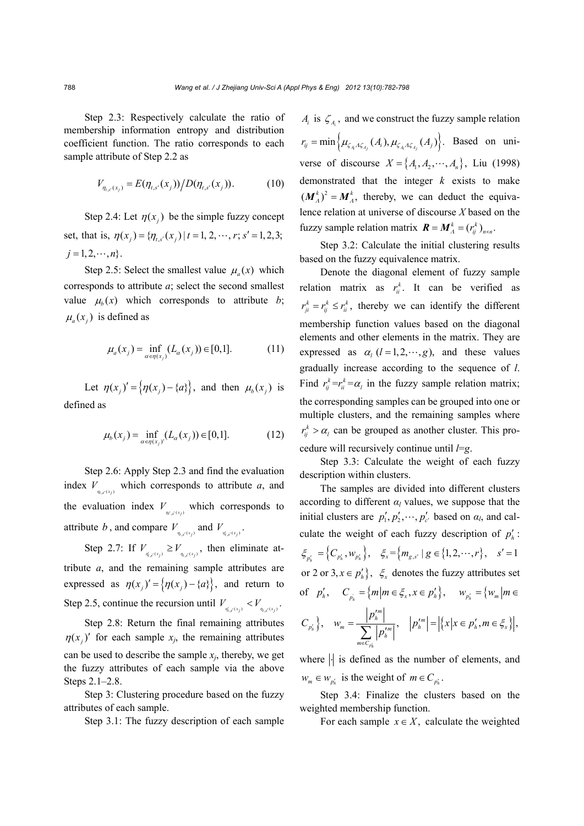Step 2.3: Respectively calculate the ratio of membership information entropy and distribution coefficient function. The ratio corresponds to each sample attribute of Step 2.2 as

$$
V_{\eta_{t,s}(x_j)} = E(\eta_{t,s'}(x_j)) / D(\eta_{t,s'}(x_j)).
$$
 (10)

Step 2.4: Let  $\eta(x_i)$  be the simple fuzzy concept set, that is,  $\eta(x_i) = {\eta_{i,s'}(x_i) | t = 1, 2, \cdots, r; s' = 1,2,3;}$  $j = 1, 2, \cdots, n$ .

Step 2.5: Select the smallest value  $\mu_a(x)$  which corresponds to attribute *a*; select the second smallest value  $\mu_h(x)$  which corresponds to attribute *b*;  $\mu_a(x_i)$  is defined as

$$
\mu_a(x_j) = \inf_{\alpha \in \eta(x_j)} (L_{\alpha}(x_j)) \in [0,1].
$$
 (11)

Let  $\eta(x_j)' = \{\eta(x_j) - \{a\}\}\$ , and then  $\mu_b(x_j)$  is defined as

$$
\mu_b(x_j) = \inf_{\alpha \in \eta(x_j)} (L_{\alpha}(x_j)) \in [0,1].
$$
 (12)

Step 2.6: Apply Step 2.3 and find the evaluation index  $V_{\eta_{t,s}(x_i)}$  which corresponds to attribute *a*, and the evaluation index  $V_{\eta_{\ell,s}(x_i)}$  which corresponds to attribute *b*, and compare  $V_{\eta_{i,s'}(x_j)}$  and  $V_{\eta'_{i,s'}(x_j)}$ .

Step 2.7: If  $V_{\eta_{i,s}(x_j)} \geq V_{\eta_{i,s}(x_j)}$ , then eliminate attribute *a*, and the remaining sample attributes are expressed as  $\eta(x_i)' = \{\eta(x_i) - \{a\}\}\$ , and return to Step 2.5, continue the recursion until  $V_{\eta_{t,s}(x_i)} < V_{\eta_{t,s}(x_i)}$ .

Step 2.8: Return the final remaining attributes  $\eta(x_i)'$  for each sample  $x_i$ , the remaining attributes can be used to describe the sample  $x_i$ , thereby, we get the fuzzy attributes of each sample via the above Steps 2.1–2.8.

Step 3: Clustering procedure based on the fuzzy attributes of each sample.

Step 3.1: The fuzzy description of each sample

 $A_i$  is  $\zeta_A$ , and we construct the fuzzy sample relation  $r_{ij} = \min \Big\{ \mu_{\zeta_{A_i} A \zeta_{A_i}}(A_i), \mu_{\zeta_{A_i} A \zeta_{A_i}}(A_j) \Big\}$ . Based on universe of discourse  $X = \{A_1, A_2, \dots, A_n\}$ , Liu (1998) demonstrated that the integer *k* exists to make  $(M_A^k)^2 = M_A^k$ , thereby, we can deduct the equivalence relation at universe of discourse *X* based on the fuzzy sample relation matrix  $\mathbf{R} = \mathbf{M}_{A}^{k} = (r_{ij}^{k})_{n \times n}$ .

Step 3.2: Calculate the initial clustering results based on the fuzzy equivalence matrix.

Denote the diagonal element of fuzzy sample relation matrix as  $r_{ii}^k$ . It can be verified as  $r_{ji}^k = r_{ij}^k \leq r_{ii}^k$ , thereby we can identify the different membership function values based on the diagonal elements and other elements in the matrix. They are expressed as  $\alpha_l$  ( $l = 1, 2, \dots, g$ ), and these values gradually increase according to the sequence of *l*. Find  $r_i^k = r_i^k = \alpha_i$  in the fuzzy sample relation matrix; the corresponding samples can be grouped into one or multiple clusters, and the remaining samples where  $r_{ij}^k > \alpha_l$  can be grouped as another cluster. This procedure will recursively continue until *l*=*g*.

Step 3.3: Calculate the weight of each fuzzy description within clusters.

The samples are divided into different clusters according to different  $\alpha$ <sup>*l*</sup> values, we suppose that the initial clusters are  $p'_1, p'_2, \dots, p'_{c'}$  based on  $\alpha_l$ , and calculate the weight of each fuzzy description of  $p'_n$ :  $\mathcal{E}_{p_i} = \left\{ C_{p_i^i}, w_{p_i^i} \right\}, \quad \mathcal{E}_{x} = \left\{ m_{g, s^i} \mid g \in \{1, 2, \cdots, r\}, \quad s' = 1 \right\}$ or 2 or 3,  $x \in p'_h$ ,  $\xi_x$  denotes the fuzzy attributes set of  $p'_{h}$ ,  $C_{p_{h}^{i}} = \{m | m \in \xi_{x}, x \in p'_{h}\}, \quad w_{p_{h}^{i}} = \{w_{m} | m \in \xi_{h} \}$  $C_{p'_h}$ ,  $W_m = \frac{1}{\sum_{m=1}^{\infty} |m|},$ *ph m h*  $\sum_{m \in C_m}$  p'<sup>m</sup> *p w p*  $\in C_p$  $=\frac{|p'_h|}{\sqrt{2}}$  $\left| \sum_{k=1}^{p} \frac{p^{n}}{p_{n}^{m}} \right|, \quad \left| p_{n}^{m} \right| = \left| \left\{ x | x \in p_{n}^{'} , m \in \xi_{x} \right\} \right|,$ 

where  $\left| \cdot \right|$  is defined as the number of elements, and  $w_m \in W_{p'_k}$  is the weight of  $m \in C_{p'_k}$ .

Step 3.4: Finalize the clusters based on the weighted membership function.

For each sample  $x \in X$ , calculate the weighted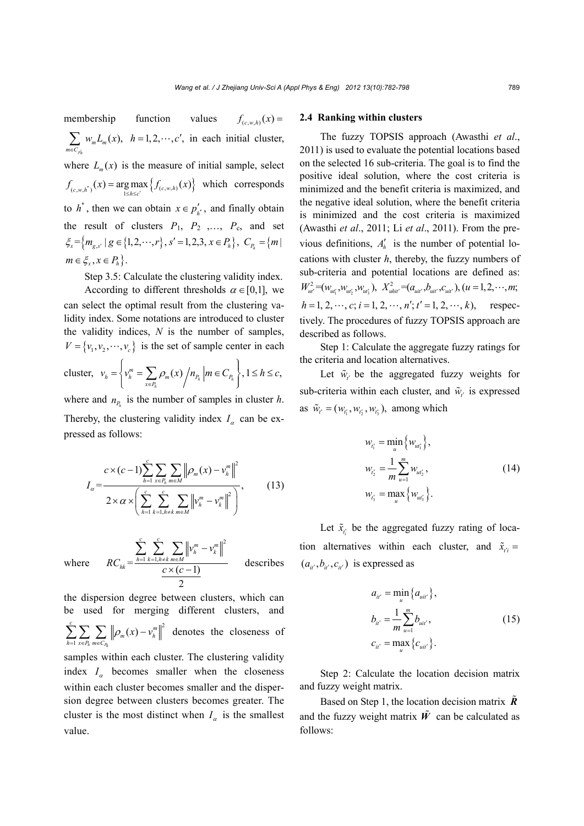membership function values  $f_{(c,wh)}(x) =$  $(x),$ *ph*  $\sum_{m \in C_m} w_m L_m$  $w_{m}L_{m}$   $(x$  $\sum_{n \in C_{\rho h}} w_m L_m(x)$ ,  $h = 1, 2, \dots, c'$ , in each initial cluster, where  $L_m(x)$  is the measure of initial sample, select  $f_{(c, w, h^*)}(x) = \underset{1 \le h \le c^*}{\arg \max} \{f_{(c, w, h)}(x)\}$  which corresponds to  $h^*$ , then we can obtain  $x \in p'_{k^*}$ , and finally obtain the result of clusters  $P_1$ ,  $P_2$ , ...,  $P_c$ , and set  $\xi_{x} = \{ m_{e,s'} \mid g \in \{1,2,\dots,r\}, s' = 1,2,3, x \in P_h \}, C_R = \{ m \}$  $m \in \xi_x, x \in P_k$ .

Step 3.5: Calculate the clustering validity index.

According to different thresholds  $\alpha \in [0,1]$ , we can select the optimal result from the clustering validity index. Some notations are introduced to cluster the validity indices, *N* is the number of samples,  $V = \{v_1, v_2, \dots, v_c\}$  is the set of sample center in each

cluster, 
$$
v_h = \left\{ v_h^m = \sum_{x \in P_h} \rho_m(x) / n_{P_h} \middle| m \in C_{P_h} \right\}, 1 \le h \le c
$$
,

where and  $n_{P_h}$  is the number of samples in cluster *h*. Thereby, the clustering validity index  $I_{\alpha}$  can be expressed as follows:

$$
I_{\alpha} = \frac{c \times (c-1) \sum_{h=1}^{c} \sum_{x \in P_h} \sum_{m \in M} \left\| \rho_m(x) - v_h^m \right\|^2}{2 \times \alpha \times \left( \sum_{h=1}^{c} \sum_{k=1, h \neq k}^{c} \sum_{m \in M} \left\| v_h^m - v_k^m \right\|^2 \right)},
$$
(13)

where

$$
RC_{hk} = \frac{\sum_{h=1}^{c} \sum_{k=1, h \neq k}^{c} \sum_{m \in M} ||v_h^m - v_k^m||^2}{\frac{c \times (c-1)}{2}}
$$
 describes

the dispersion degree between clusters, which can be used for merging different clusters, and 2 1  $\sum_{h=1}^{c} \sum_{x \in P_h} \sum_{m \in C_h} \left\| \rho_m(x) - \nu_h^m \right\|$  $h^{m\in\mathbb{C}}P_h$  $\rho_m(x) - v$  $\sum_{h=1}^N \sum_{x \in P_h} \left\| \rho_m(x) - v_h^m \right\|^2$  denotes the closeness of samples within each cluster. The clustering validity

index  $I_{\alpha}$  becomes smaller when the closeness within each cluster becomes smaller and the dispersion degree between clusters becomes greater. The cluster is the most distinct when  $I_{\alpha}$  is the smallest value.

## **2.4 Ranking within clusters**

The fuzzy TOPSIS approach (Awasthi *et al*., 2011) is used to evaluate the potential locations based on the selected 16 sub-criteria. The goal is to find the positive ideal solution, where the cost criteria is minimized and the benefit criteria is maximized, and the negative ideal solution, where the benefit criteria is minimized and the cost criteria is maximized (Awasthi *et al*., 2011; Li *et al*., 2011). From the previous definitions,  $A'_h$  is the number of potential locations with cluster *h*, thereby, the fuzzy numbers of sub-criteria and potential locations are defined as:  $W_{\mu\nu}^2 = (w_{\mu_1}, w_{\mu_2}, w_{\mu_3}), \quad X_{\mu_1}^2 = (a_{\mu_1}, b_{\mu_1}, c_{\mu_1}), \quad (u = 1, 2, \cdots, m).$  $h = 1, 2, \dots, c$ ;  $i = 1, 2, \dots, n'$ ;  $t' = 1, 2, \dots, k$ , respectively. The procedures of fuzzy TOPSIS approach are described as follows.

Step 1: Calculate the aggregate fuzzy ratings for the criteria and location alternatives.

Let  $\tilde{w}_{t}$  be the aggregated fuzzy weights for sub-criteria within each cluster, and  $\tilde{w}_t$  is expressed as  $\tilde{w}_{t'} = (w_{t'_1}, w_{t'_2}, w_{t'_3})$ , among which

$$
w_{i'_1} = \min_u \{ w_{ui'_1} \},
$$
  
\n
$$
w_{i'_2} = \frac{1}{m} \sum_{u=1}^m w_{ui'_2},
$$
  
\n
$$
w_{i'_3} = \max_u \{ w_{ui'_3} \}.
$$
\n(14)

Let  $\tilde{x}_{t_i}$  be the aggregated fuzzy rating of location alternatives within each cluster, and  $\tilde{x}_{ri}$  =  $(a_{ii'}, b_{ii'}, c_{ii'})$  is expressed as

$$
a_{ii'} = \min_{u} \{a_{ui'}\},
$$
  
\n
$$
b_{ii'} = \frac{1}{m} \sum_{u=1}^{m} b_{ui'},
$$
  
\n
$$
c_{ii'} = \max_{u} \{c_{ui'}\}.
$$
\n(15)

Step 2: Calculate the location decision matrix and fuzzy weight matrix.

Based on Step 1, the location decision matrix *R* and the fuzzy weight matrix  $\tilde{W}$  can be calculated as follows: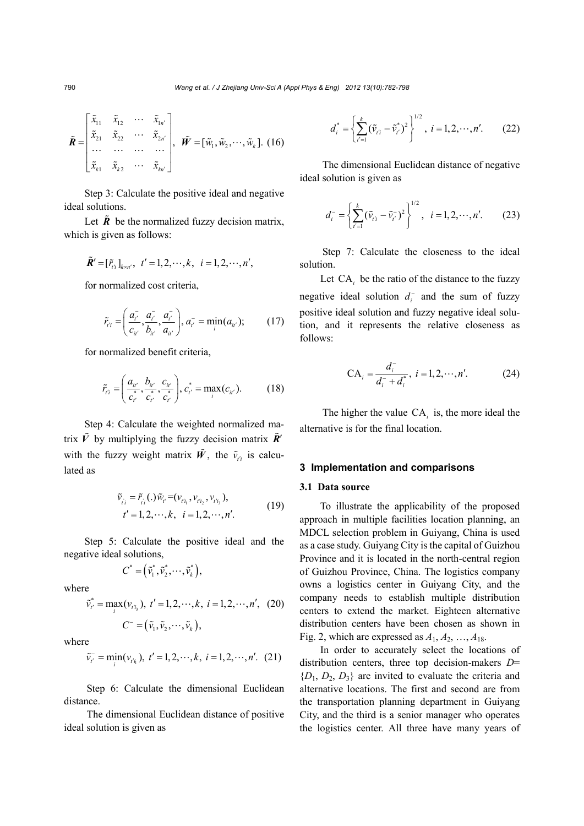$$
\tilde{\boldsymbol{R}} = \begin{bmatrix} \tilde{x}_{11} & \tilde{x}_{12} & \cdots & \tilde{x}_{1n'} \\ \tilde{x}_{21} & \tilde{x}_{22} & \cdots & \tilde{x}_{2n'} \\ \cdots & \cdots & \cdots & \cdots \\ \tilde{x}_{k1} & \tilde{x}_{k2} & \cdots & \tilde{x}_{kn'} \end{bmatrix}, \quad \tilde{\boldsymbol{W}} = [\tilde{w}_1, \tilde{w}_2, \cdots, \tilde{w}_k]. \quad (16)
$$

Step 3: Calculate the positive ideal and negative ideal solutions.

Let  $\tilde{R}$  be the normalized fuzzy decision matrix, which is given as follows:

$$
\tilde{R}' = [\tilde{r}_{i}^{\dagger}]_{k \times n'}, t' = 1, 2, \cdots, k, i = 1, 2, \cdots, n',
$$

for normalized cost criteria,

$$
\tilde{r}_{t'i} = \left(\frac{a_{t'}^-, a_{t'}^-, a_{t'}^-,}{c_{u'}^-, b_{u'}^-, a_{u'}^-}\right), a_{t'}^-=\min_i(a_{u'}); \quad (17)
$$

for normalized benefit criteria,

$$
\tilde{r}_{t'i} = \left(\frac{a_{ii'}}{c_{i'}^*}, \frac{b_{ii'}}{c_{i'}^*}, \frac{c_{ii'}}{c_{i'}^*}\right), c_{i'}^* = \max_i(c_{ii'}).
$$
 (18)

Step 4: Calculate the weighted normalized matrix  $\tilde{V}$  by multiplying the fuzzy decision matrix  $\tilde{R}'$ with the fuzzy weight matrix  $\tilde{W}$ , the  $\tilde{v}_{t_i}$  is calculated as

$$
\tilde{v}_{i i} = \tilde{r}_{i i}(.)\tilde{w}_{i'} = (v_{i' i_1}, v_{i' i_2}, v_{i' i_3}), \n t' = 1, 2, \cdots, k, \quad i = 1, 2, \cdots, n'.
$$
\n(19)

Step 5: Calculate the positive ideal and the negative ideal solutions,

$$
C^* = (\tilde{v}_1^*, \tilde{v}_2^*, \cdots, \tilde{v}_k^*),
$$

where

$$
\tilde{v}_{t'}^* = \max_i(v_{t'i_3}), \ t' = 1, 2, \cdots, k, \ t = 1, 2, \cdots, n', \ (20)
$$

$$
C^- = (\tilde{v}_1, \tilde{v}_2, \cdots, \tilde{v}_k),
$$

where

$$
\tilde{v}_{t'}^- = \min_i (v_{t'_{i_i}}), t' = 1, 2, \cdots, k, i = 1, 2, \cdots, n'. (21)
$$

Step 6: Calculate the dimensional Euclidean distance.

The dimensional Euclidean distance of positive ideal solution is given as

$$
d_i^* = \left\{ \sum_{t'=1}^k (\tilde{v}_{t'i} - \tilde{v}_{t'}^*)^2 \right\}^{1/2}, \ i = 1, 2, \cdots, n'. \qquad (22)
$$

The dimensional Euclidean distance of negative ideal solution is given as

$$
d_i^- = \left\{ \sum_{t'=1}^k (\tilde{v}_{t'i} - \tilde{v}_{t'}^-)^2 \right\}^{1/2}, \quad i = 1, 2, \cdots, n'. \tag{23}
$$

Step 7: Calculate the closeness to the ideal solution.

Let CA*i* be the ratio of the distance to the fuzzy negative ideal solution  $d_i^-$  and the sum of fuzzy positive ideal solution and fuzzy negative ideal solution, and it represents the relative closeness as follows:

$$
CA_i = \frac{d_i^-}{d_i^- + d_i^*}, i = 1, 2, \cdots, n'. \tag{24}
$$

The higher the value CA*<sup>i</sup>* is, the more ideal the alternative is for the final location.

#### **3 Implementation and comparisons**

### **3.1 Data source**

To illustrate the applicability of the proposed approach in multiple facilities location planning, an MDCL selection problem in Guiyang, China is used as a case study. Guiyang City is the capital of Guizhou Province and it is located in the north-central region of Guizhou Province, China. The logistics company owns a logistics center in Guiyang City, and the company needs to establish multiple distribution centers to extend the market. Eighteen alternative distribution centers have been chosen as shown in Fig. 2, which are expressed as  $A_1, A_2, \ldots, A_{18}$ .

In order to accurately select the locations of distribution centers, three top decision-makers *D*=  ${D_1, D_2, D_3}$  are invited to evaluate the criteria and alternative locations. The first and second are from the transportation planning department in Guiyang City, and the third is a senior manager who operates the logistics center. All three have many years of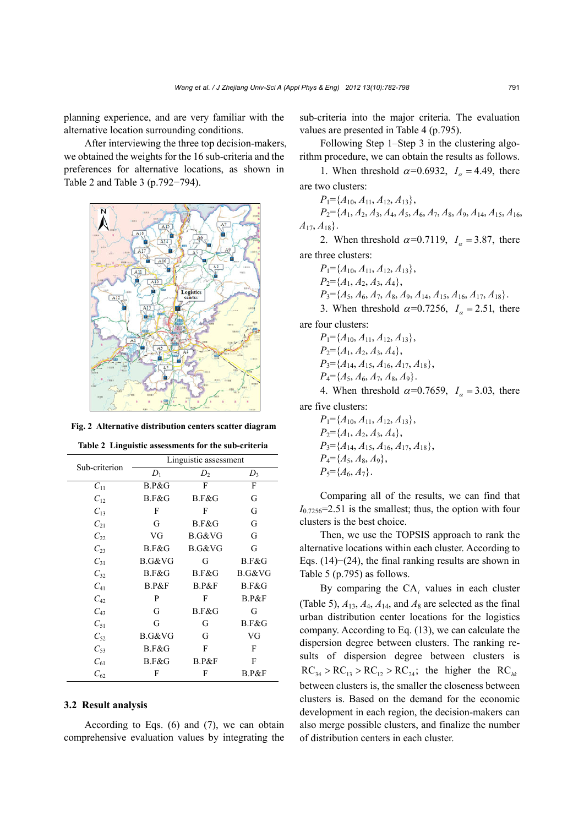planning experience, and are very familiar with the alternative location surrounding conditions.

After interviewing the three top decision-makers, we obtained the weights for the 16 sub-criteria and the preferences for alternative locations, as shown in Table 2 and Table 3 (p.792−794).



**Fig. 2 Alternative distribution centers scatter diagram**

**Table 2 Linguistic assessments for the sub-criteria** 

|               | Linguistic assessment |          |        |  |  |  |  |  |
|---------------|-----------------------|----------|--------|--|--|--|--|--|
| Sub-criterion | $\mathcal{D}_1$       | $D_2$    | $D_3$  |  |  |  |  |  |
| $C_{11}$      | B.P&G                 | F        | F      |  |  |  |  |  |
| $C_{12}$      | B.F&G                 | B.F&G    | G      |  |  |  |  |  |
| $C_{13}$      | F                     | F        | G      |  |  |  |  |  |
| $C_{21}$      | G                     | B.F&G    | G      |  |  |  |  |  |
| $C_{22}$      | VG                    | B.G&VG   | G      |  |  |  |  |  |
| $C_{23}$      | B.F&G                 | B.G&VG   | G      |  |  |  |  |  |
| $C_{31}$      | B.G&VG                | G        | B.F&G  |  |  |  |  |  |
| $C_{32}$      | B.F&G                 | B.F&G    | B.G&VG |  |  |  |  |  |
| $C_{41}$      | B.P&F                 | $B.P\&F$ | B.F&G  |  |  |  |  |  |
| $C_{42}$      | P                     | F        | B.P&F  |  |  |  |  |  |
| $C_{43}$      | G                     | B.F&G    | G      |  |  |  |  |  |
| $C_{51}$      | G                     | G        | B.F&G  |  |  |  |  |  |
| $C_{52}$      | B.G&VG                | G        | VG     |  |  |  |  |  |
| $C_{53}$      | B.F&G                 | F        | F      |  |  |  |  |  |
| $C_{61}$      | B.F&G                 | $B.P\&F$ | F      |  |  |  |  |  |
| $C_{62}$      | F                     | F        | B.P&F  |  |  |  |  |  |

## **3.2 Result analysis**

According to Eqs. (6) and (7), we can obtain comprehensive evaluation values by integrating the sub-criteria into the major criteria. The evaluation values are presented in Table 4 (p.795).

Following Step 1–Step 3 in the clustering algorithm procedure, we can obtain the results as follows.

1. When threshold  $\alpha$ =0.6932,  $I_{\alpha}$  = 4.49, there are two clusters:

*P*1={*A*10, *A*11, *A*12, *A*13}, *P*2={*A*1, *A*2, *A*3, *A*4, *A*5, *A*6, *A*7, *A*8, *A*9, *A*14, *A*15, *A*16, *A*17, *A*18}.

2. When threshold  $\alpha$ =0.7119,  $I_{\alpha}$  = 3.87, there are three clusters:

$$
P_1 = \{A_{10}, A_{11}, A_{12}, A_{13}\},
$$
  

$$
P_2 = \{A_1, A_2, A_3, A_4\}
$$

$$
P_3 = \{A_5, A_6, A_7, A_8, A_9, A_{14}, A_{15}, A_{16}, A_{17}, A_{18}\}.
$$

3. When threshold  $\alpha$ =0.7256,  $I_{\alpha}$  = 2.51, there

are four clusters:

$$
P_1 = \{A_{10}, A_{11}, A_{12}, A_{13}\},
$$
  
\n
$$
P_2 = \{A_1, A_2, A_3, A_4\},
$$
  
\n
$$
P_3 = \{A_{14}, A_{15}, A_{16}, A_{17}, A_{18}\},
$$

$$
P_4 = \{A_5, A_6, A_7, A_8, A_9\}.
$$

4. When threshold  $\alpha$ =0.7659,  $I_{\alpha}$  = 3.03, there

are five clusters:

*P*1={*A*10, *A*11, *A*12, *A*13},  $P_2 = \{A_1, A_2, A_3, A_4\},\,$ *P*3={*A*14, *A*15, *A*16, *A*17, *A*18},  $P_4 = \{A_5, A_8, A_9\},\,$  $P_5 = \{A_6, A_7\}.$ 

Comparing all of the results, we can find that  $I<sub>0.7256</sub>=2.51$  is the smallest; thus, the option with four clusters is the best choice.

Then, we use the TOPSIS approach to rank the alternative locations within each cluster. According to Eqs. (14)−(24), the final ranking results are shown in Table 5 (p.795) as follows.

By comparing the CA*i* values in each cluster (Table 5),  $A_{13}$ ,  $A_4$ ,  $A_{14}$ , and  $A_8$  are selected as the final urban distribution center locations for the logistics company. According to Eq. (13), we can calculate the dispersion degree between clusters. The ranking results of dispersion degree between clusters is  $RC_{34} > RC_{13} > RC_{12} > RC_{24}$ ; the higher the RC<sub>hk</sub> between clusters is, the smaller the closeness between clusters is. Based on the demand for the economic development in each region, the decision-makers can also merge possible clusters, and finalize the number of distribution centers in each cluster.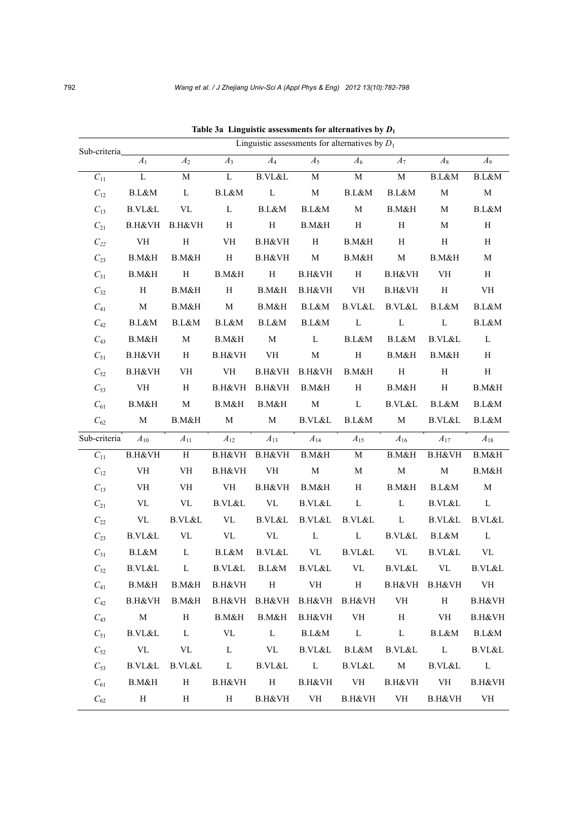| Sub-criteria       | Linguistic assessments for alternatives by $D_1$ |                                 |                                 |                                 |                                   |                          |                                 |                         |                         |  |
|--------------------|--------------------------------------------------|---------------------------------|---------------------------------|---------------------------------|-----------------------------------|--------------------------|---------------------------------|-------------------------|-------------------------|--|
|                    | $A_1$                                            | $\mathcal{A}_2$                 | $A_3$                           | $A_4$                           | $A_5$                             | $A_6$                    | $A_7$                           | $A_8$                   | $A_9$                   |  |
| $C_{11}$           | L                                                | М                               | $\mathbf L$                     | B.VL&L                          | M                                 | $\mathbf M$              | $\mathbf M$                     | $\operatorname{B.L\&M}$ | B.L&M                   |  |
| $C_{12}$           | B.L&M                                            | $\mathbf L$                     | B.L&M                           | $\mathbf L$                     | $\mathbf M$                       | B.L&M                    | B.L&M                           | $\mathbf M$             | $\mathbf M$             |  |
| $C_{13}$           | B.VL&L                                           | $\ensuremath{\text{VL}}\xspace$ | $\mathbf L$                     | B.L&M                           | B.L&M                             | $\mathbf M$              | B.M&H                           | $\mathbf M$             | B.L&M                   |  |
| $C_{21}$           | B.H&VH                                           | B.H&VH                          | $\, {\rm H}$                    | $\rm H$                         | B.M&H                             | $\rm H$                  | $\, {\rm H}$                    | $\mathbf M$             | H                       |  |
| $\mathcal{C}_{22}$ | VH                                               | $\, {\rm H}$                    | VH                              | B.H&VH                          | H                                 | B.M&H                    | H                               | H                       | H                       |  |
| $C_{23}$           | B.M&H                                            | B.M&H                           | H                               | B.H&VH                          | $\mathbf M$                       | B.M&H                    | $\mathbf M$                     | B.M&H                   | $\mathbf M$             |  |
| $C_{31}$           | B.M&H                                            | $\, {\rm H}$                    | B.M&H                           | $\, {\rm H}$                    | B.H&VH                            | $\, {\rm H}$             | B.H&VH                          | VH                      | $\, {\rm H}$            |  |
| $C_{32}$           | H                                                | B.M&H                           | H                               | B.M&H                           | B.H&VH                            | VH                       | B.H&VH                          | $\, {\rm H}$            | VH                      |  |
| $C_{41}$           | $\mathbf M$                                      | B.M&H                           | $\mathbf M$                     | B.M&H                           | B.L&M                             | B.VL&L                   | B.VL&L                          | B.L&M                   | B.L&M                   |  |
| $C_{42}$           | B.L&M                                            | B.L&M                           | B.L&M                           | B.L&M                           | B.L&M                             | $\mathbf L$              | $\mathbf L$                     | L                       | $\operatorname{B.L\&M}$ |  |
| $C_{43}$           | B.M&H                                            | $\mathbf M$                     | B.M&H                           | $\mathbf M$                     | $\mathbf L$                       | B.L&M                    | B.L&M                           | <b>B.VL&amp;L</b>       | $\mathbf L$             |  |
| $C_{51}$           | B.H&VH                                           | $\, {\rm H}$                    | B.H&VH                          | VH                              | $\mathbf M$                       | $\rm H$                  | B.M&H                           | B.M&H                   | $\, {\rm H}$            |  |
| $C_{52}$           | B.H&VH                                           | VH                              | VH                              | B.H&VH                          | B.H&VH                            | B.M&H                    | $\, {\rm H}$                    | H                       | H                       |  |
| $C_{53}$           | VH                                               | $\, {\rm H}$                    | B.H&VH                          | B.H&VH                          | B.M&H                             | $\rm H$                  | B.M&H                           | $\rm H$                 | B.M&H                   |  |
| $C_{61}$           | B.M&H                                            | $\mathbf M$                     | B.M&H                           | B.M&H                           | $\mathbf M$                       | $\mathbf L$              | B.VL&L                          | B.L&M                   | B.L&M                   |  |
| $C_{62}$           | M                                                | B.M&H                           | $\mathbf M$                     | $\mathbf M$                     | B.VL&L                            | B.L&M                    | M                               | B.VL&L                  | B.L&M                   |  |
| Sub-criteria       | $A_{10}$                                         | $A_{11}$                        | $A_{12}$                        | $A_{13}$                        | $A_{14}$                          | $A_{15}$                 | $A_{16}$                        | $A_{17}$                | $A_{18}$                |  |
| $C_{11}$           | B.H&VH                                           | H                               |                                 | B.H&VH B.H&VH                   | B.M&H                             | M                        | B.M&H                           | B.H&VH                  | B.M&H                   |  |
| $\mathcal{C}_{12}$ | VH                                               | VH                              | B.H&VH                          | VH                              | $\mathbf M$                       | $\mathbf M$              | $\mathbf M$                     | $\mathbf M$             | B.M&H                   |  |
| $C_{13}$           | VH                                               | VH                              | VH                              | B.H&VH                          | B.M&H                             | H                        | B.M&H                           | B.L&M                   | $\mathbf M$             |  |
| $C_{21}$           | VL                                               | VL                              | B.VL&L                          | $\ensuremath{\text{VL}}\xspace$ | B.VL&L                            | L                        | $\mathbf L$                     | B.VL&L                  | L                       |  |
| $C_{22}$           | $\ensuremath{\text{VL}}\xspace$                  | B.VL&L                          | $\ensuremath{\text{VL}}\xspace$ | B.VL&L                          | B.VL&L                            | $\operatorname{B.VL\&L}$ | $\mathbf L$                     | B.VL&L                  | B.VL&L                  |  |
| $C_{23}$           | <b>B.VL&amp;L</b>                                | VL                              | VL                              | $\ensuremath{\text{VL}}\xspace$ | L                                 | $\mathbf L$              | B.VL&L                          | B.L&M                   | L                       |  |
| $C_{31}$           | B.L&M                                            | L                               | B.L&M                           | B.VL&L                          | $\ensuremath{\text{VL}}\xspace$   | <b>B.VL&amp;L</b>        | $\ensuremath{\text{VL}}\xspace$ | B.VL&L                  | VL                      |  |
| $\mathcal{C}_{32}$ | B.VL&L                                           | L                               | B.VL&L                          | B.L&M                           | B.VL&L                            | VL                       | B.VL&L                          | VL                      | B.VL&L                  |  |
| $C_{41}$           | B.M&H                                            | B.M&H                           | B.H&VH                          | H                               | VH                                | ${\bf H}$                |                                 | B.H&VH B.H&VH           | VH                      |  |
| $C_{42}$           | B.H&VH                                           |                                 |                                 |                                 | B.M&H B.H&VH B.H&VH B.H&VH B.H&VH |                          | VH                              | H                       | B.H&VH                  |  |
| $C_{43}$           | M                                                | H                               | B.M&H                           | B.M&H                           | B.H&VH VH                         |                          | H                               | <b>VH</b>               | B.H&VH                  |  |
| $C_{51}$           | B.VL&L                                           | L                               | VL                              | L B.L&M                         |                                   | $\mathbf{L}$             | $\mathbf L$                     | B.L&M                   | B.L&M                   |  |
| $C_{52}$           | <b>VL</b>                                        | VL                              | L                               | VL                              | B.VL&L                            | B.L&M                    | B.VL&L                          | $\mathbf{L}$            | B.VL&L                  |  |
| $C_{53}$           | B.VL&L                                           | B.VL&L                          | $\mathbf{L}$                    | B.VL&L                          | $\mathbf{L}$                      | B.VL&L M                 |                                 | B.VL&L                  | $\mathbf{L}$            |  |
| $C_{61}$           | B.M&H                                            | H                               |                                 | B.H&VH H                        |                                   | B.H&VH VH                |                                 | B.H&VH VH               | B.H&VH                  |  |
| $C_{62}$           | H                                                | H                               | H                               |                                 | B.H&VH VH                         |                          | B.H&VH VH                       | B.H&VH                  | VH                      |  |

**Table 3a Linguistic assessments for alternatives by** *D***<sup>1</sup>**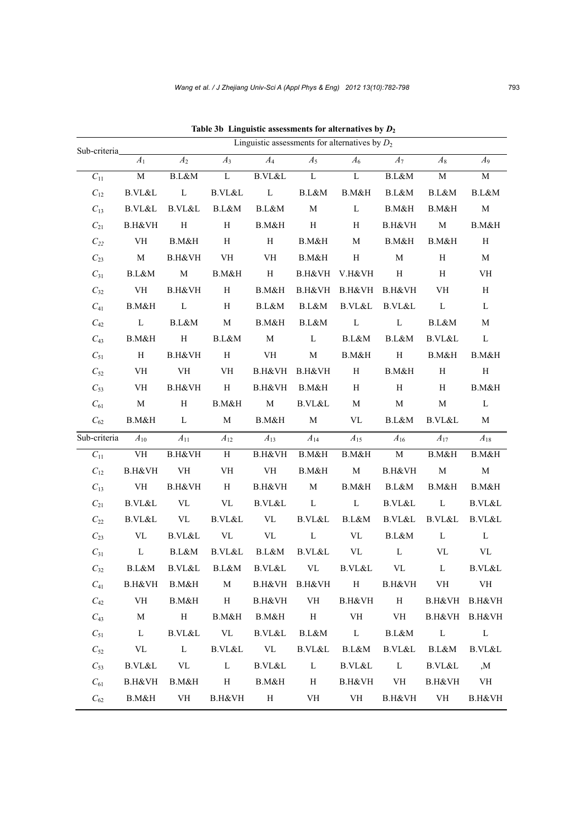|                    | Linguistic assessments for alternatives by $D_2$ |              |                                 |              |                 |                      |                                 |                   |                   |  |
|--------------------|--------------------------------------------------|--------------|---------------------------------|--------------|-----------------|----------------------|---------------------------------|-------------------|-------------------|--|
| Sub-criteria       | $A_1$                                            | $A_2$        | $A_3$                           | $A_4$        | $A_5$           | $A_6$                | $A_7$                           | $A_8$             | $A_9$             |  |
| $C_{11}$           | $\mathbf M$                                      | B.L&M        | $\mathbf L$                     | B.VL&L       | $\mathbf L$     | $\mathbf L$          | $\operatorname{B.L\&M}$         | $\mathbf M$       | М                 |  |
| $C_{12}$           | B.VL&L                                           | L            | B.VL&L                          | $\mathbf{L}$ | B.L&M           | B.M&H                | B.L&M                           | B.L&M             | B.L&M             |  |
| $C_{13}$           | B.VL&L                                           | B.VL&L       | B.L&M                           | B.L&M        | $\mathbf M$     | $\mathbf L$          | B.M&H                           | B.M&H             | $\mathbf M$       |  |
| $C_{21}$           | B.H&VH                                           | $\, {\rm H}$ | H                               | B.M&H        | H               | H                    | B.H&VH                          | $\mathbf M$       | B.M&H             |  |
| $C_{22}$           | VH                                               | B.M&H        | H                               | $\, {\rm H}$ | B.M&H           | M                    | B.M&H                           | B.M&H             | H                 |  |
| $C_{23}$           | M                                                | B.H&VH       | VH                              | VH           | B.M&H           | H                    | $\mathbf M$                     | H                 | M                 |  |
| $C_{31}$           | B.L&M                                            | M            | B.M&H                           | H            |                 | B.H&VH V.H&VH        | H                               | H                 | VH                |  |
| $C_{32}$           | VH                                               | B.H&VH       | H                               | B.M&H        |                 | B.H&VH B.H&VH B.H&VH |                                 | VH                | H                 |  |
| $C_{41}$           | B.M&H                                            | $\mathbf L$  | H                               | B.L&M        | B.L&M           | B.VL&L               | B.VL&L                          | $\mathbf{L}$      | $\mathbf{L}$      |  |
| $C_{42}$           | L                                                | B.L&M        | M                               | B.M&H        | B.L&M           | $\mathbf{L}$         | $\mathbf{L}$                    | B.L&M             | М                 |  |
| $C_{43}$           | B.M&H                                            | H            | B.L&M                           | M            | $\mathbf{L}$    | B.L&M                | B.L&M                           | <b>B.VL&amp;L</b> | $\mathbf L$       |  |
| $C_{51}$           | H                                                | B.H&VH       | Н                               | VH           | M               | B.M&H                | H                               | B.M&H             | B.M&H             |  |
| $C_{52}$           | VH                                               | VH           | VH                              | B.H&VH       | B.H&VH          | H                    | B.M&H                           | H                 | H                 |  |
| $C_{53}$           | <b>VH</b>                                        | B.H&VH       | $\,$ H                          | B.H&VH       | B.M&H           | H                    | H                               | H                 | B.M&H             |  |
| $C_{61}$           | M                                                | Н            | B.M&H                           | M            | B.VL&L          | M                    | $\mathbf{M}$                    | M                 | L                 |  |
| $\mathcal{C}_{62}$ | B.M&H                                            | $\mathbf{L}$ | M                               | B.M&H        | M               | VL                   | B.L&M                           | B.VL&L            | M                 |  |
| Sub-criteria       | $A_{10}$                                         | $A_{11}$     | $A_{12}$                        | $A_{13}$     | $A_{14}$        | $A_{15}$             | $A_{16}$                        | $A_{17}$          | $A_{18}$          |  |
| $C_{11}$           | VH                                               | B.H&VH       | $\, {\rm H}$                    | B.H&VH       | B.M&H           | B.M&H                | M                               | B.M&H             | B.M&H             |  |
| $C_{12}$           | B.H&VH                                           | VH           | $\mathbf{V}\mathbf{H}$          | VH           | B.M&H           | M                    | B.H&VH                          | $\mathbf M$       | $\mathbf M$       |  |
| $C_{13}$           | VH                                               | B.H&VH       | H                               | B.H&VH       | M               | B.M&H                | B.L&M                           | B.M&H             | B.M&H             |  |
| $C_{21}$           | $\operatorname{B.VL\&L}$                         | VL           | $\ensuremath{\text{VL}}\xspace$ | B.VL&L       | $\mathbf L$     | $\mathbf L$          | B.VL&L                          | $\mathbf L$       | <b>B.VL&amp;L</b> |  |
| $C_{22}$           | B.VL&L                                           | VL           | B.VL&L                          | VL           | B.VL&L          | B.L&M                | B.VL&L                          | B.VL&L            | B.VL&L            |  |
| $C_{23}$           | VL                                               | B.VL&L       | VL                              | VL           | $\mathbf{L}$    | VL                   | B.L&M                           | $\mathbf L$       | $\mathbf{L}$      |  |
| $C_{31}$           | L                                                | B.L&M        | B.VL&L                          | B.L&M        | B.VL&L          | VL                   | $\mathbf{L}$                    | VL                | VL                |  |
| $C_{32}$           | B.L&M                                            | B.VL&L       | B.L&M                           | B.VL&L       | VL              | B.VL&L               | $\ensuremath{\text{VL}}\xspace$ | L                 | B.VL&L            |  |
| $C_{41}$           | B.H&VH B.M&H                                     |              | M                               |              | B.H&VH B.H&VH H |                      | B.H&VH VH                       |                   | VH                |  |
| $C_{42}$           | VH                                               | B.M&H        | H                               | B.H&VH       |                 | VH B.H&VH            | H                               | B.H&VH B.H&VH     |                   |  |
| $C_{43}$           | M                                                | H            | B.M&H                           | B.M&H H      |                 | VH                   | VH                              |                   | B.H&VH B.H&VH     |  |
| $C_{51}$           | $\mathbf{L}$                                     | B.VL&L       | VL                              | B.VL&L       | B.L&M           | $\mathbf{L}$         | B.L&M                           | $\mathbf{L}$      | L                 |  |
| $C_{52}$           | VL                                               | $\mathbf{L}$ | B.VL&L                          | VL           | B.VL&L          | B.L&M                | B.VL&L                          | B.L&M             | B.VL&L            |  |
| $C_{53}$           | <b>B.VL&amp;L</b>                                | VL           | $\mathbf{L}$                    | B.VL&L       | $\mathbf{L}$    | B.VL&L               | $\mathbf{L}$                    | B.VL&L            | ,M                |  |
| $C_{61}$           | B.H&VH                                           |              | B.M&H H                         | B.M&H        | H               |                      | B.H&VH VH                       | B.H&VH VH         |                   |  |
| $C_{62}$           | B.M&H                                            | VH           |                                 | B.H&VH H     | VH              | VH                   | B.H&VH                          | VH                | B.H&VH            |  |

**Table 3b Linguistic assessments for alternatives by** *D***<sup>2</sup>**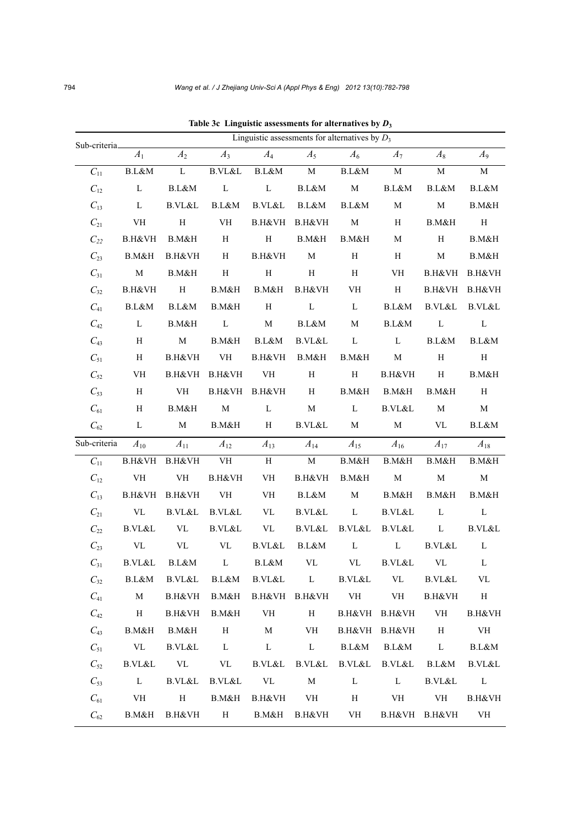| Sub-criteria_ |                                 | Linguistic assessments for alternatives by $D_3$ |                                 |                         |                        |                         |                   |               |                   |  |  |
|---------------|---------------------------------|--------------------------------------------------|---------------------------------|-------------------------|------------------------|-------------------------|-------------------|---------------|-------------------|--|--|
|               | $A_1$                           | A <sub>2</sub>                                   | $A_3$                           | $A_4$                   | $A_5$                  | $A_6$                   | $A_7$             | $A_8$         | A9                |  |  |
| $C_{11}$      | B.L&M                           | $\mathbf L$                                      | $\operatorname{B.VL\&L}$        | $\operatorname{B.L\&M}$ | $\mathbf M$            | $\operatorname{B.L\&M}$ | $\mathbf M$       | $\mathbf M$   | $\mathbf M$       |  |  |
| $C_{12}$      | $\mathbf L$                     | B.L&M                                            | $\mathbf L$                     | $\mathbf L$             | B.L&M                  | $\mathbf M$             | B.L&M             | B.L&M         | B.L&M             |  |  |
| $C_{13}$      | $\mathbf L$                     | <b>B.VL&amp;L</b>                                | $\operatorname{B.L\&M}$         | <b>B.VL&amp;L</b>       | B.L&M                  | B.L&M                   | $\mathbf M$       | $\mathbf M$   | B.M&H             |  |  |
| $C_{21}$      | VH                              | $\, {\rm H}$                                     | VH                              | B.H&VH                  | B.H&VH                 | M                       | H                 | B.M&H         | H                 |  |  |
| $C_{22}$      | B.H&VH                          | B.M&H                                            | $\,$ H                          | $\, {\rm H}$            | B.M&H                  | B.M&H                   | $\mathbf M$       | $\, {\rm H}$  | B.M&H             |  |  |
| $C_{23}$      | B.M&H                           | B.H&VH                                           | H                               | B.H&VH                  | $\mathbf M$            | $\, {\rm H}$            | H                 | $\mathbf M$   | B.M&H             |  |  |
| $C_{31}$      | $\mathbf M$                     | B.M&H                                            | $\, {\rm H}$                    | $\rm H$                 | $\, {\rm H}$           | $\, {\rm H}$            | VH                | B.H&VH        | B.H&VH            |  |  |
| $C_{32}$      | B.H&VH                          | $\, {\rm H}$                                     | B.M&H                           | B.M&H                   | B.H&VH                 | VH                      | $\, {\rm H}$      | B.H&VH        | B.H&VH            |  |  |
| $C_{41}$      | B.L&M                           | B.L&M                                            | B.M&H                           | $\, {\rm H}$            | $\mathbf L$            | L                       | B.L&M             | B.VL&L        | B.VL&L            |  |  |
| $C_{42}$      | L                               | B.M&H                                            | $\mathbf L$                     | $\mathbf M$             | B.L&M                  | $\mathbf M$             | B.L&M             | $\mathbf L$   | $\mathbf L$       |  |  |
| $C_{43}$      | H                               | $\mathbf M$                                      | B.M&H                           | B.L&M                   | <b>B.VL&amp;L</b>      | $\mathbf L$             | L                 | B.L&M         | B.L&M             |  |  |
| $C_{51}$      | H                               | B.H&VH                                           | VH                              | B.H&VH                  | B.M&H                  | B.M&H                   | $\mathbf M$       | H             | H                 |  |  |
| $C_{52}$      | VH                              | B.H&VH                                           | B.H&VH                          | VH                      | $\, {\rm H}$           | $\, {\rm H}$            | B.H&VH            | H             | B.M&H             |  |  |
| $C_{53}$      | H                               | VH                                               |                                 | B.H&VH B.H&VH           | H                      | B.M&H                   | B.M&H             | B.M&H         | H                 |  |  |
| $C_{61}$      | H                               | B.M&H                                            | $\mathbf M$                     | $\mathbf L$             | $\mathbf M$            | $\mathbf L$             | B.VL&L            | $\mathbf M$   | $\mathbf M$       |  |  |
| $C_{62}$      | L                               | M                                                | B.M&H                           | H                       | B.VL&L                 | M                       | M                 | VL            | B.L&M             |  |  |
| Sub-criteria  | $A_{10}$                        | $A_{11}$                                         | $A_{12}$                        | $A_{13}$                | $A_{14}$               | $A_{15}$                | $A_{16}$          | $A_{17}$      | $A_{18}$          |  |  |
| $C_{11}$      |                                 | B.H&VH B.H&VH                                    | VH                              | $\, {\rm H}$            | $\mathbf M$            | B.M&H                   | B.M&H             | B.M&H         | B.M&H             |  |  |
| $C_{12}$      | VH                              | VH                                               | B.H&VH                          | VH                      | B.H&VH                 | B.M&H                   | $\mathbf M$       | $\mathbf M$   | $\mathbf M$       |  |  |
| $C_{13}$      | B.H&VH                          | B.H&VH                                           | VH                              | VH                      | B.L&M                  | $\mathbf M$             | B.M&H             | B.M&H         | B.M&H             |  |  |
| $C_{21}$      | $\ensuremath{\text{VL}}\xspace$ | B.VL&L                                           | B.VL&L                          | VL                      | <b>B.VL&amp;L</b>      | $\mathbf L$             | <b>B.VL&amp;L</b> | $\mathbf L$   | $\mathbf L$       |  |  |
| $C_{22}$      | $\operatorname{B.VL\&L}$        | VL                                               | B.VL&L                          | VL                      | B.VL&L                 | <b>B.VL&amp;L</b>       | B.VL&L            | L             | <b>B.VL&amp;L</b> |  |  |
| $C_{23}$      | VL                              | VL                                               | $\ensuremath{\text{VL}}\xspace$ | B.VL&L                  | B.L&M                  | $\mathbf L$             | $\mathbf L$       | B.VL&L        | L                 |  |  |
| $C_{31}$      | B.VL&L                          | B.L&M                                            | $\mathbf{L}$                    | B.L&M                   | VL                     | VL                      | B.VL&L            | VL            | L                 |  |  |
| $C_{32}$      | B.L&M                           | B.VL&L                                           | B.L&M                           |                         | B.VL&L L               | B.VL&L                  | VL                | B.VL&L        | VL                |  |  |
| $C_{41}$      | $\mathbf M$                     | B.H&VH                                           |                                 |                         | B.M&H B.H&VH B.H&VH VH |                         | <b>VH</b>         | B.H&VH        | H                 |  |  |
| $C_{42}$      | H                               | B.H&VH                                           | B.M&H                           | VH                      | H                      |                         | B.H&VH B.H&VH     | VH            | B.H&VH            |  |  |
| $C_{43}$      | B.M&H                           | B.M&H                                            | H                               | $\mathbf M$             | VH                     |                         | B.H&VH B.H&VH     | H             | VH                |  |  |
| $C_{51}$      | VL                              | B.VL&L                                           | $\mathbf{L}$                    | $\mathbf L$             | $\mathbf{L}$           | B.L&M                   | B.L&M             | $\mathbf{L}$  | B.L&M             |  |  |
| $C_{52}$      | $\operatorname{B.VL\&L}$        | VL                                               | VL                              | B.VL&L                  | B.VL&L                 | B.VL&L                  | B.VL&L            | B.L&M         | B.VL&L            |  |  |
| $C_{53}$      | L                               | B.VL&L                                           | B.VL&L VL                       |                         | M                      | L                       | $\mathbf{L}$      | B.VL&L        | $\mathbf{L}$      |  |  |
| $C_{61}$      | VH                              | H                                                | B.M&H                           | B.H&VH                  | VH                     | $\, {\rm H}$            | <b>VH</b>         | VH            | B.H&VH            |  |  |
| $C_{62}$      | B.M&H                           | B.H&VH                                           | H                               | B.M&H                   | B.H&VH                 | VH                      |                   | B.H&VH B.H&VH | VH                |  |  |

**Table 3c Linguistic assessments for alternatives by** *D***<sup>3</sup>**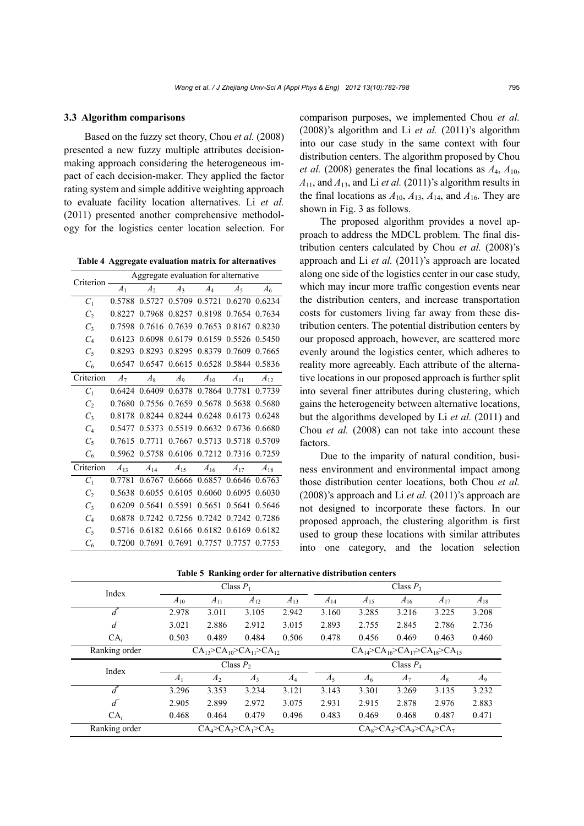#### **3.3 Algorithm comparisons**

Based on the fuzzy set theory, Chou *et al.* (2008) presented a new fuzzy multiple attributes decisionmaking approach considering the heterogeneous impact of each decision-maker. They applied the factor rating system and simple additive weighting approach to evaluate facility location alternatives. Li *et al.* (2011) presented another comprehensive methodology for the logistics center location selection. For

**Table 4 Aggregate evaluation matrix for alternatives**

| Criterion         | Aggregate evaluation for alternative |                |                                    |          |                      |                 |  |
|-------------------|--------------------------------------|----------------|------------------------------------|----------|----------------------|-----------------|--|
|                   | A <sub>1</sub>                       | A <sub>2</sub> | $A_3$                              | $A_4$    | $A_5$                | $\mathcal{A}_6$ |  |
| $C_1$             | 0.5788                               |                | 0.5727 0.5709                      | 0.5721   | 0.6270               | 0.6234          |  |
| C,                | 0.8227                               |                | 0.7968 0.8257                      |          | 0.8198 0.7654        | 0.7634          |  |
| $C_3$             | 0.7598                               | 0.7616         | 0.7639                             |          | 0.7653 0.8167        | 0.8230          |  |
| $C_4$             | 0.6123                               | 0.6098         | 0.6179                             |          | 0.6159 0.5526        | 0.5450          |  |
| $C_5$             | 0.8293                               |                | 0.8293 0.8295 0.8379 0.7609 0.7665 |          |                      |                 |  |
| $C_6$             | 0.6547                               |                | 0.6547 0.6615 0.6528 0.5844 0.5836 |          |                      |                 |  |
| Criterion         | A <sub>7</sub>                       | $A_8$          | $A_9$                              | $A_{10}$ | $A_{11}$             | $A_{12}$        |  |
| $C_1$             | 0.6424                               |                | 0.6409 0.6378                      |          | 0.7864 0.7781        | 0.7739          |  |
| $\mathcal{C}$     | 0.7680                               |                | 0.7556 0.7659                      |          | 0.5678 0.5638        | 0.5680          |  |
| $C_3$             | 0.8178                               | 0.8244         | 0.8244                             |          | 0.6248 0.6173        | 0.6248          |  |
| $C_4$             | 0.5477                               | 0.5373         | 0.5519                             |          | 0.6632 0.6736        | 0.6680          |  |
| $C_5$             | 0.7615                               | 0.7711         |                                    |          | 0.7667 0.5713 0.5718 | 0.5709          |  |
| $C_6$             | 0.5962                               |                | 0.5758 0.6106 0.7212 0.7316 0.7259 |          |                      |                 |  |
| Criterion         | $A_{13}$                             | $A_{14}$       | $A_{15}$                           | $A_{16}$ | $A_{17}$             | $A_{18}$        |  |
| $C_1$             | 0.7781                               | 0.6767         | 0.6666                             |          | 0.6857 0.6646        | 0.6763          |  |
| $\mathcal{C}_{2}$ | 0.5638                               | 0.6055         | 0.6105                             |          | 0.6060 0.6095        | 0.6030          |  |
| $C_3$             | 0.6209                               | 0.5641         | 0.5591                             | 0.5651   | 0.5641               | 0.5646          |  |
| $C_4$             | 0.6878                               | 0.7242         |                                    |          | 0.7256 0.7242 0.7242 | 0.7286          |  |
| $C_5$             | 0.5716                               |                | 0.6182 0.6166 0.6182 0.6169        |          |                      | 0.6182          |  |
| $C_{6}$           | 0.7200                               | 0.7691         | 0.7691                             |          | 0.7757 0.7757        | 0.7753          |  |

comparison purposes, we implemented Chou *et al.* (2008)'s algorithm and Li *et al.* (2011)'s algorithm into our case study in the same context with four distribution centers. The algorithm proposed by Chou *et al.* (2008) generates the final locations as  $A_4$ ,  $A_{10}$ ,  $A_{11}$ , and  $A_{13}$ , and Li *et al.* (2011)'s algorithm results in the final locations as  $A_{10}$ ,  $A_{13}$ ,  $A_{14}$ , and  $A_{16}$ . They are shown in Fig. 3 as follows.

The proposed algorithm provides a novel approach to address the MDCL problem. The final distribution centers calculated by Chou *et al.* (2008)'s approach and Li *et al.* (2011)'s approach are located along one side of the logistics center in our case study, which may incur more traffic congestion events near the distribution centers, and increase transportation costs for customers living far away from these distribution centers. The potential distribution centers by our proposed approach, however, are scattered more evenly around the logistics center, which adheres to reality more agreeably. Each attribute of the alternative locations in our proposed approach is further split into several finer attributes during clustering, which gains the heterogeneity between alternative locations, but the algorithms developed by Li *et al.* (2011) and Chou *et al.* (2008) can not take into account these factors.

Due to the imparity of natural condition, business environment and environmental impact among those distribution center locations, both Chou *et al.* (2008)'s approach and Li *et al.* (2011)'s approach are not designed to incorporate these factors. In our proposed approach, the clustering algorithm is first used to group these locations with similar attributes into one category, and the location selection

| Index          | Class $P_1$                             |                |             |          | Class $P_3$                                       |          |             |          |          |
|----------------|-----------------------------------------|----------------|-------------|----------|---------------------------------------------------|----------|-------------|----------|----------|
|                | $A_{10}$                                | $A_{11}$       | $A_{12}$    | $A_{13}$ | $A_{14}$                                          | $A_{15}$ | $A_{16}$    | $A_{17}$ | $A_{18}$ |
|                | 2.978                                   | 3.011          | 3.105       | 2.942    | 3.160                                             | 3.285    | 3.216       | 3.225    | 3.208    |
| $\overline{d}$ | 3.021                                   | 2.886          | 2.912       | 3.015    | 2.893                                             | 2.755    | 2.845       | 2.786    | 2.736    |
| $CA_i$         | 0.503                                   | 0.489          | 0.484       | 0.506    | 0.478                                             | 0.456    | 0.469       | 0.463    | 0.460    |
| Ranking order  | $CA_{13} > CA_{10} > CA_{11} > CA_{12}$ |                |             |          | $CA_{14} > CA_{16} > CA_{17} > CA_{18} > CA_{15}$ |          |             |          |          |
|                |                                         |                |             |          |                                                   |          |             |          |          |
|                |                                         |                | Class $P_2$ |          |                                                   |          | Class $P_4$ |          |          |
| Index          | A <sub>1</sub>                          | A <sub>2</sub> | $A_3$       | $A_4$    | $A_5$                                             | $A_6$    | $A_7$       | $A_8$    | $A_9$    |
|                | 3.296                                   | 3.353          | 3.234       | 3.121    | 3.143                                             | 3.301    | 3.269       | 3.135    | 3.232    |
| $\overline{d}$ | 2.905                                   | 2.899          | 2.972       | 3.075    | 2.931                                             | 2.915    | 2.878       | 2.976    | 2.883    |
| $CA_i$         | 0.468                                   | 0.464          | 0.479       | 0.496    | 0.483                                             | 0.469    | 0.468       | 0.487    | 0.471    |

**Table 5 Ranking order for alternative distribution centers**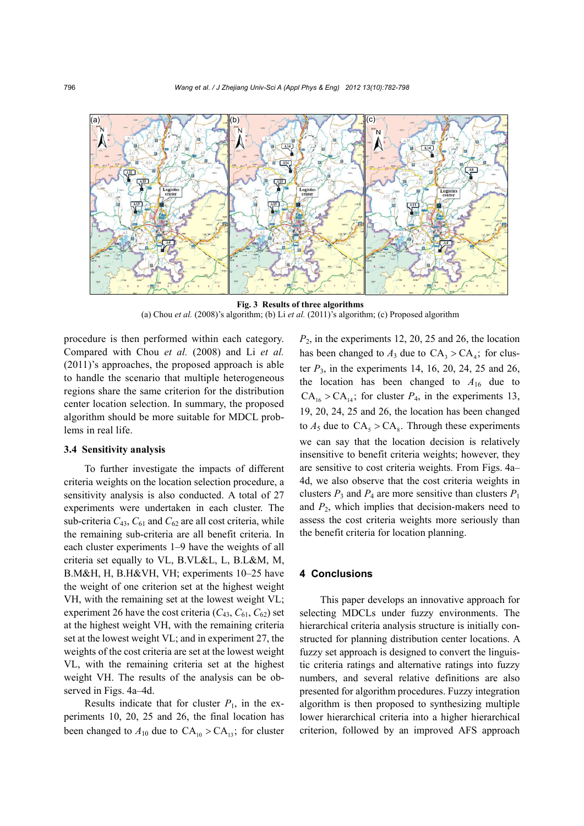

**Fig. 3 Results of three algorithms**  (a) Chou *et al.* (2008)'s algorithm; (b) Li *et al.* (2011)'s algorithm; (c) Proposed algorithm

procedure is then performed within each category. Compared with Chou *et al.* (2008) and Li *et al.* (2011)'s approaches, the proposed approach is able to handle the scenario that multiple heterogeneous regions share the same criterion for the distribution center location selection. In summary, the proposed algorithm should be more suitable for MDCL problems in real life.

# **3.4 Sensitivity analysis**

To further investigate the impacts of different criteria weights on the location selection procedure, a sensitivity analysis is also conducted. A total of 27 experiments were undertaken in each cluster. The sub-criteria  $C_{43}$ ,  $C_{61}$  and  $C_{62}$  are all cost criteria, while the remaining sub-criteria are all benefit criteria. In each cluster experiments 1–9 have the weights of all criteria set equally to VL, B.VL&L, L, B.L&M, M, B.M&H, H, B.H&VH, VH; experiments 10–25 have the weight of one criterion set at the highest weight VH, with the remaining set at the lowest weight VL; experiment 26 have the cost criteria  $(C_{43}, C_{61}, C_{62})$  set at the highest weight VH, with the remaining criteria set at the lowest weight VL; and in experiment 27, the weights of the cost criteria are set at the lowest weight VL, with the remaining criteria set at the highest weight VH. The results of the analysis can be observed in Figs. 4a–4d.

Results indicate that for cluster  $P_1$ , in the experiments 10, 20, 25 and 26, the final location has been changed to  $A_{10}$  due to  $CA_{10} > CA_{13}$ ; for cluster  $P<sub>2</sub>$ , in the experiments 12, 20, 25 and 26, the location has been changed to  $A_3$  due to  $CA_3 > CA_4$ ; for cluster *P*3, in the experiments 14, 16, 20, 24, 25 and 26, the location has been changed to  $A_{16}$  due to  $CA_{16} > CA_{14}$ ; for cluster  $P_4$ , in the experiments 13, 19, 20, 24, 25 and 26, the location has been changed to  $A_5$  due to  $CA_5 > CA_8$ . Through these experiments we can say that the location decision is relatively insensitive to benefit criteria weights; however, they are sensitive to cost criteria weights. From Figs. 4a– 4d, we also observe that the cost criteria weights in clusters  $P_3$  and  $P_4$  are more sensitive than clusters  $P_1$ and *P*2, which implies that decision-makers need to assess the cost criteria weights more seriously than the benefit criteria for location planning.

# **4 Conclusions**

This paper develops an innovative approach for selecting MDCLs under fuzzy environments. The hierarchical criteria analysis structure is initially constructed for planning distribution center locations. A fuzzy set approach is designed to convert the linguistic criteria ratings and alternative ratings into fuzzy numbers, and several relative definitions are also presented for algorithm procedures. Fuzzy integration algorithm is then proposed to synthesizing multiple lower hierarchical criteria into a higher hierarchical criterion, followed by an improved AFS approach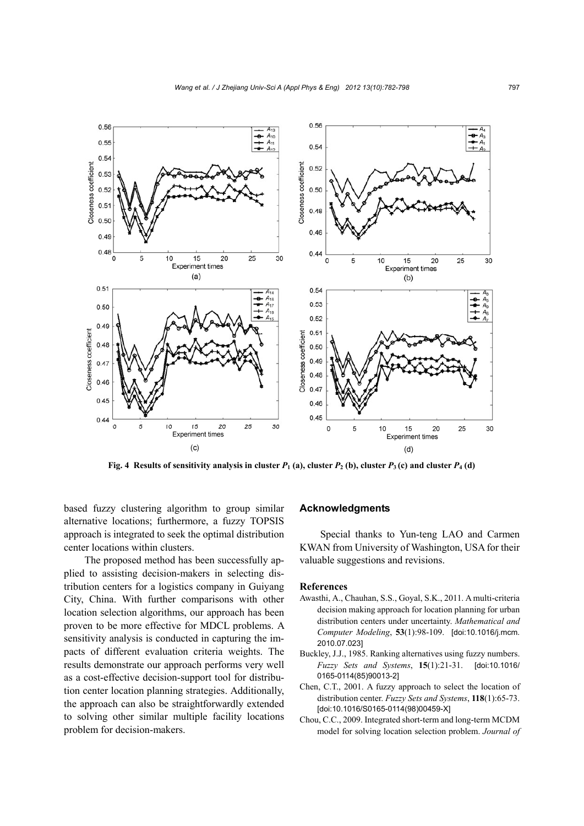![](_page_15_Figure_1.jpeg)

**Fig. 4 Results of sensitivity analysis in cluster**  $P_1$  **(a), cluster**  $P_2$  **(b), cluster**  $P_3$  **(c) and cluster**  $P_4$  **(d)** 

based fuzzy clustering algorithm to group similar alternative locations; furthermore, a fuzzy TOPSIS approach is integrated to seek the optimal distribution center locations within clusters.

The proposed method has been successfully applied to assisting decision-makers in selecting distribution centers for a logistics company in Guiyang City, China. With further comparisons with other location selection algorithms, our approach has been proven to be more effective for MDCL problems. A sensitivity analysis is conducted in capturing the impacts of different evaluation criteria weights. The results demonstrate our approach performs very well as a cost-effective decision-support tool for distribution center location planning strategies. Additionally, the approach can also be straightforwardly extended to solving other similar multiple facility locations problem for decision-makers.

### **Acknowledgments**

Special thanks to Yun-teng LAO and Carmen KWAN from University of Washington, USA for their valuable suggestions and revisions.

# **References**

- Awasthi, A., Chauhan, S.S., Goyal, S.K., 2011. A multi-criteria decision making approach for location planning for urban distribution centers under uncertainty. *Mathematical and Computer Modeling*, **53**(1):98-109. [doi:10.1016/j.mcm. 2010.07.023]
- Buckley, J.J., 1985. Ranking alternatives using fuzzy numbers. *Fuzzy Sets and Systems*, **15**(1):21-31. [doi:10.1016/ 0165-0114(85)90013-2]
- Chen, C.T., 2001. A fuzzy approach to select the location of distribution center. *Fuzzy Sets and Systems*, **118**(1):65-73. [doi:10.1016/S0165-0114(98)00459-X]
- Chou, C.C., 2009. Integrated short-term and long-term MCDM model for solving location selection problem. *Journal of*